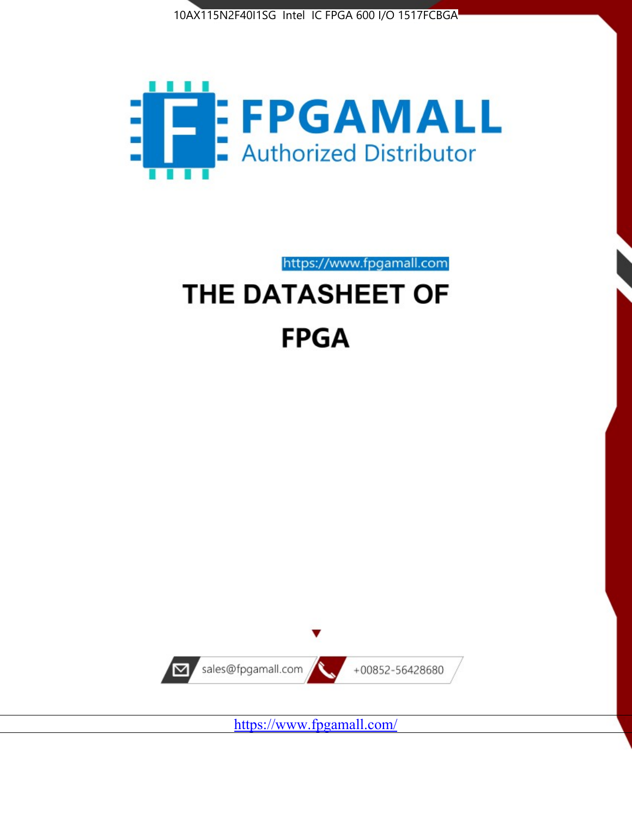



https://www.fpgamall.com THE DATASHEET OF

# **FPGA**



<https://www.fpgamall.com/>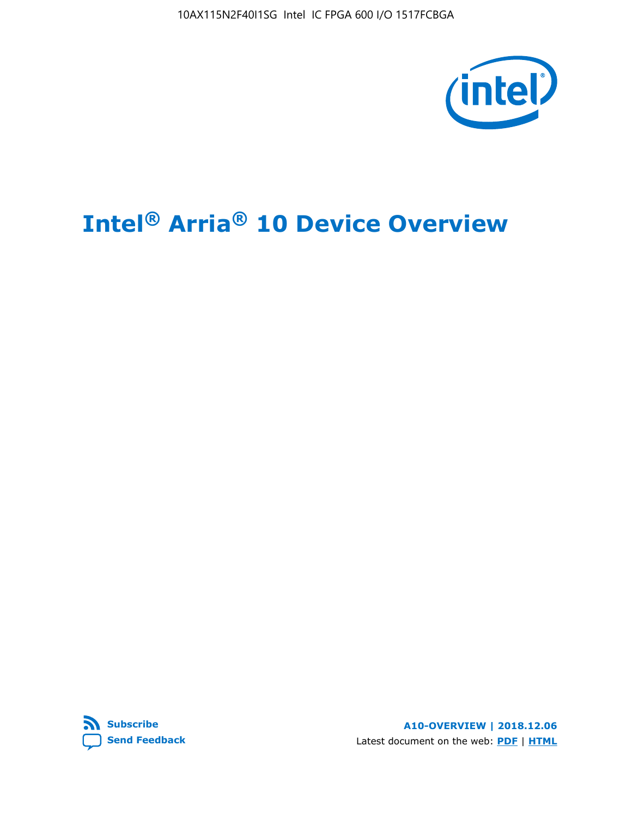10AX115N2F40I1SG Intel IC FPGA 600 I/O 1517FCBGA



# **Intel® Arria® 10 Device Overview**



**A10-OVERVIEW | 2018.12.06** Latest document on the web: **[PDF](https://www.intel.com/content/dam/www/programmable/us/en/pdfs/literature/hb/arria-10/a10_overview.pdf)** | **[HTML](https://www.intel.com/content/www/us/en/programmable/documentation/sam1403480274650.html)**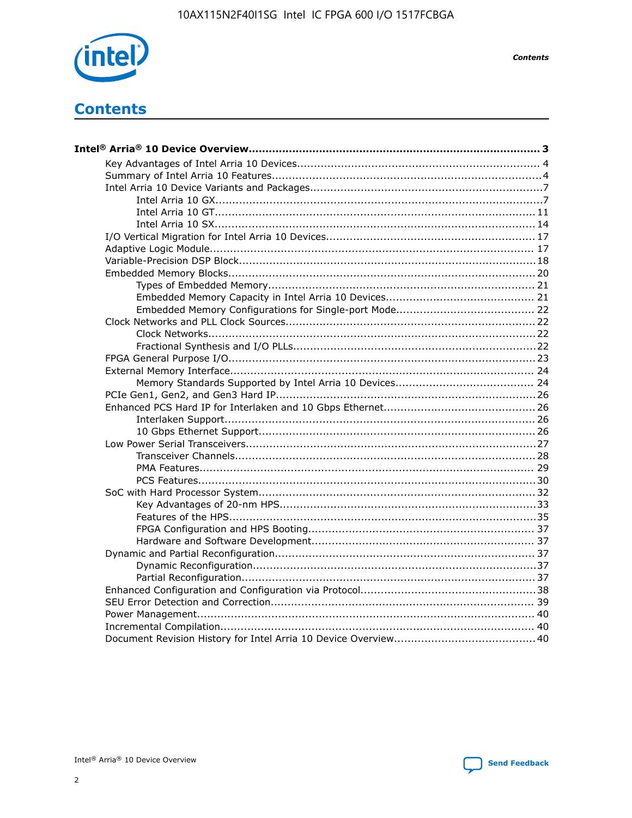

**Contents** 

## **Contents**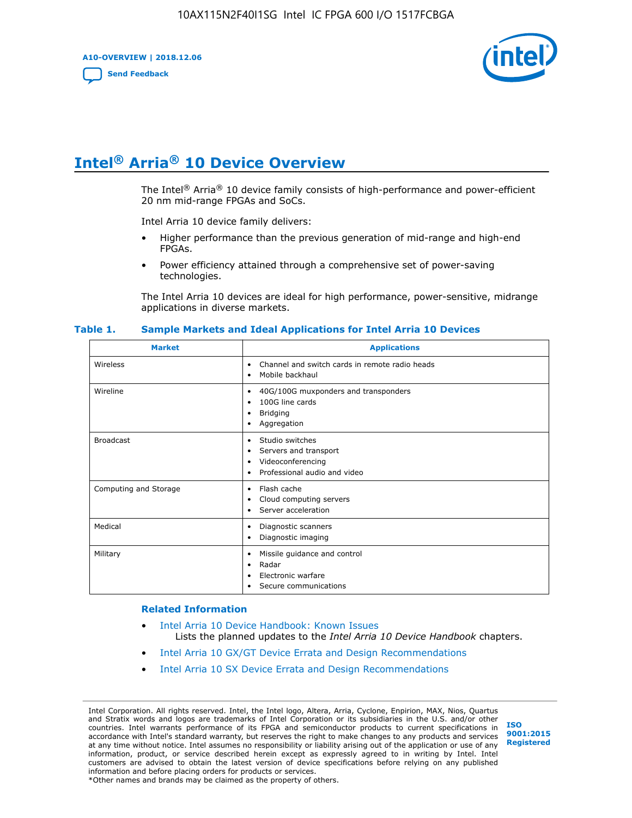**A10-OVERVIEW | 2018.12.06**

**[Send Feedback](mailto:FPGAtechdocfeedback@intel.com?subject=Feedback%20on%20Intel%20Arria%2010%20Device%20Overview%20(A10-OVERVIEW%202018.12.06)&body=We%20appreciate%20your%20feedback.%20In%20your%20comments,%20also%20specify%20the%20page%20number%20or%20paragraph.%20Thank%20you.)**



## **Intel® Arria® 10 Device Overview**

The Intel<sup>®</sup> Arria<sup>®</sup> 10 device family consists of high-performance and power-efficient 20 nm mid-range FPGAs and SoCs.

Intel Arria 10 device family delivers:

- Higher performance than the previous generation of mid-range and high-end FPGAs.
- Power efficiency attained through a comprehensive set of power-saving technologies.

The Intel Arria 10 devices are ideal for high performance, power-sensitive, midrange applications in diverse markets.

| <b>Market</b>         | <b>Applications</b>                                                                                               |
|-----------------------|-------------------------------------------------------------------------------------------------------------------|
| Wireless              | Channel and switch cards in remote radio heads<br>٠<br>Mobile backhaul<br>٠                                       |
| Wireline              | 40G/100G muxponders and transponders<br>٠<br>100G line cards<br>٠<br><b>Bridging</b><br>٠<br>Aggregation<br>٠     |
| <b>Broadcast</b>      | Studio switches<br>٠<br>Servers and transport<br>٠<br>Videoconferencing<br>٠<br>Professional audio and video<br>٠ |
| Computing and Storage | Flash cache<br>٠<br>Cloud computing servers<br>٠<br>Server acceleration<br>٠                                      |
| Medical               | Diagnostic scanners<br>٠<br>Diagnostic imaging<br>٠                                                               |
| Military              | Missile guidance and control<br>٠<br>Radar<br>٠<br>Electronic warfare<br>٠<br>Secure communications<br>٠          |

#### **Table 1. Sample Markets and Ideal Applications for Intel Arria 10 Devices**

#### **Related Information**

- [Intel Arria 10 Device Handbook: Known Issues](http://www.altera.com/support/kdb/solutions/rd07302013_646.html) Lists the planned updates to the *Intel Arria 10 Device Handbook* chapters.
- [Intel Arria 10 GX/GT Device Errata and Design Recommendations](https://www.intel.com/content/www/us/en/programmable/documentation/agz1493851706374.html#yqz1494433888646)
- [Intel Arria 10 SX Device Errata and Design Recommendations](https://www.intel.com/content/www/us/en/programmable/documentation/cru1462832385668.html#cru1462832558642)

Intel Corporation. All rights reserved. Intel, the Intel logo, Altera, Arria, Cyclone, Enpirion, MAX, Nios, Quartus and Stratix words and logos are trademarks of Intel Corporation or its subsidiaries in the U.S. and/or other countries. Intel warrants performance of its FPGA and semiconductor products to current specifications in accordance with Intel's standard warranty, but reserves the right to make changes to any products and services at any time without notice. Intel assumes no responsibility or liability arising out of the application or use of any information, product, or service described herein except as expressly agreed to in writing by Intel. Intel customers are advised to obtain the latest version of device specifications before relying on any published information and before placing orders for products or services. \*Other names and brands may be claimed as the property of others.

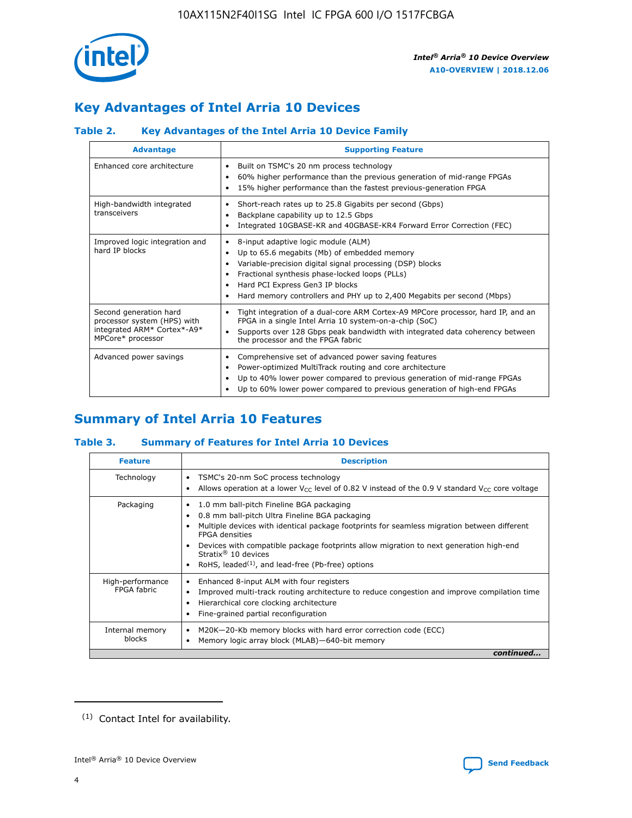

### **Key Advantages of Intel Arria 10 Devices**

### **Table 2. Key Advantages of the Intel Arria 10 Device Family**

| <b>Advantage</b>                                                                                          | <b>Supporting Feature</b>                                                                                                                                                                                                                                                                                                |  |  |  |  |  |  |
|-----------------------------------------------------------------------------------------------------------|--------------------------------------------------------------------------------------------------------------------------------------------------------------------------------------------------------------------------------------------------------------------------------------------------------------------------|--|--|--|--|--|--|
| Enhanced core architecture                                                                                | Built on TSMC's 20 nm process technology<br>٠<br>60% higher performance than the previous generation of mid-range FPGAs<br>٠<br>15% higher performance than the fastest previous-generation FPGA<br>٠                                                                                                                    |  |  |  |  |  |  |
| High-bandwidth integrated<br>transceivers                                                                 | Short-reach rates up to 25.8 Gigabits per second (Gbps)<br>٠<br>Backplane capability up to 12.5 Gbps<br>٠<br>Integrated 10GBASE-KR and 40GBASE-KR4 Forward Error Correction (FEC)<br>٠                                                                                                                                   |  |  |  |  |  |  |
| Improved logic integration and<br>hard IP blocks                                                          | 8-input adaptive logic module (ALM)<br>٠<br>Up to 65.6 megabits (Mb) of embedded memory<br>٠<br>Variable-precision digital signal processing (DSP) blocks<br>Fractional synthesis phase-locked loops (PLLs)<br>Hard PCI Express Gen3 IP blocks<br>Hard memory controllers and PHY up to 2,400 Megabits per second (Mbps) |  |  |  |  |  |  |
| Second generation hard<br>processor system (HPS) with<br>integrated ARM* Cortex*-A9*<br>MPCore* processor | Tight integration of a dual-core ARM Cortex-A9 MPCore processor, hard IP, and an<br>٠<br>FPGA in a single Intel Arria 10 system-on-a-chip (SoC)<br>Supports over 128 Gbps peak bandwidth with integrated data coherency between<br>$\bullet$<br>the processor and the FPGA fabric                                        |  |  |  |  |  |  |
| Advanced power savings                                                                                    | Comprehensive set of advanced power saving features<br>٠<br>Power-optimized MultiTrack routing and core architecture<br>٠<br>Up to 40% lower power compared to previous generation of mid-range FPGAs<br>Up to 60% lower power compared to previous generation of high-end FPGAs                                         |  |  |  |  |  |  |

### **Summary of Intel Arria 10 Features**

### **Table 3. Summary of Features for Intel Arria 10 Devices**

| <b>Feature</b>                  | <b>Description</b>                                                                                                                                                                                                                                                                                                                                                                                           |
|---------------------------------|--------------------------------------------------------------------------------------------------------------------------------------------------------------------------------------------------------------------------------------------------------------------------------------------------------------------------------------------------------------------------------------------------------------|
| Technology                      | TSMC's 20-nm SoC process technology<br>Allows operation at a lower $V_{\text{CC}}$ level of 0.82 V instead of the 0.9 V standard $V_{\text{CC}}$ core voltage                                                                                                                                                                                                                                                |
| Packaging                       | 1.0 mm ball-pitch Fineline BGA packaging<br>٠<br>0.8 mm ball-pitch Ultra Fineline BGA packaging<br>Multiple devices with identical package footprints for seamless migration between different<br><b>FPGA</b> densities<br>Devices with compatible package footprints allow migration to next generation high-end<br>Stratix <sup>®</sup> 10 devices<br>RoHS, leaded $(1)$ , and lead-free (Pb-free) options |
| High-performance<br>FPGA fabric | Enhanced 8-input ALM with four registers<br>Improved multi-track routing architecture to reduce congestion and improve compilation time<br>Hierarchical core clocking architecture<br>Fine-grained partial reconfiguration                                                                                                                                                                                   |
| Internal memory<br>blocks       | M20K-20-Kb memory blocks with hard error correction code (ECC)<br>Memory logic array block (MLAB)-640-bit memory                                                                                                                                                                                                                                                                                             |
|                                 | continued                                                                                                                                                                                                                                                                                                                                                                                                    |



<sup>(1)</sup> Contact Intel for availability.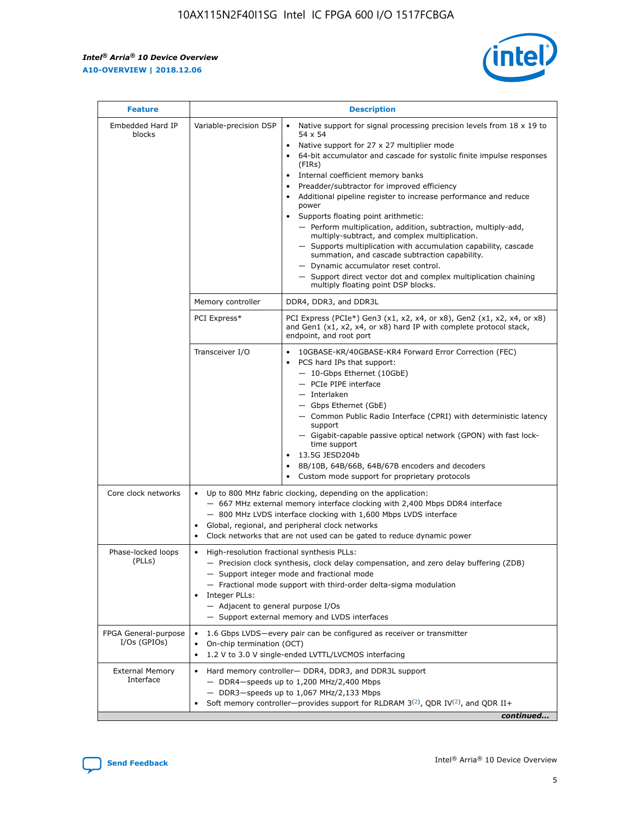r



| <b>Feature</b>                         | <b>Description</b>                                                                                             |                                                                                                                                                                                                                                                                                                                                                                                                                                                                                                                                                                                                                                                                                                                                                                                                                                                                  |  |  |  |  |  |
|----------------------------------------|----------------------------------------------------------------------------------------------------------------|------------------------------------------------------------------------------------------------------------------------------------------------------------------------------------------------------------------------------------------------------------------------------------------------------------------------------------------------------------------------------------------------------------------------------------------------------------------------------------------------------------------------------------------------------------------------------------------------------------------------------------------------------------------------------------------------------------------------------------------------------------------------------------------------------------------------------------------------------------------|--|--|--|--|--|
| Embedded Hard IP<br>blocks             | Variable-precision DSP                                                                                         | Native support for signal processing precision levels from $18 \times 19$ to<br>$\bullet$<br>54 x 54<br>Native support for 27 x 27 multiplier mode<br>$\bullet$<br>64-bit accumulator and cascade for systolic finite impulse responses<br>(FIRs)<br>Internal coefficient memory banks<br>$\bullet$<br>Preadder/subtractor for improved efficiency<br>Additional pipeline register to increase performance and reduce<br>power<br>Supports floating point arithmetic:<br>- Perform multiplication, addition, subtraction, multiply-add,<br>multiply-subtract, and complex multiplication.<br>- Supports multiplication with accumulation capability, cascade<br>summation, and cascade subtraction capability.<br>- Dynamic accumulator reset control.<br>- Support direct vector dot and complex multiplication chaining<br>multiply floating point DSP blocks. |  |  |  |  |  |
|                                        | Memory controller                                                                                              | DDR4, DDR3, and DDR3L                                                                                                                                                                                                                                                                                                                                                                                                                                                                                                                                                                                                                                                                                                                                                                                                                                            |  |  |  |  |  |
|                                        | PCI Express*                                                                                                   | PCI Express (PCIe*) Gen3 (x1, x2, x4, or x8), Gen2 (x1, x2, x4, or x8)<br>and Gen1 (x1, x2, x4, or x8) hard IP with complete protocol stack,<br>endpoint, and root port                                                                                                                                                                                                                                                                                                                                                                                                                                                                                                                                                                                                                                                                                          |  |  |  |  |  |
|                                        | Transceiver I/O                                                                                                | 10GBASE-KR/40GBASE-KR4 Forward Error Correction (FEC)<br>PCS hard IPs that support:<br>- 10-Gbps Ethernet (10GbE)<br>- PCIe PIPE interface<br>- Interlaken<br>- Gbps Ethernet (GbE)<br>- Common Public Radio Interface (CPRI) with deterministic latency<br>support<br>- Gigabit-capable passive optical network (GPON) with fast lock-<br>time support<br>13.5G JESD204b<br>$\bullet$<br>8B/10B, 64B/66B, 64B/67B encoders and decoders<br>Custom mode support for proprietary protocols                                                                                                                                                                                                                                                                                                                                                                        |  |  |  |  |  |
| Core clock networks                    | $\bullet$                                                                                                      | Up to 800 MHz fabric clocking, depending on the application:<br>- 667 MHz external memory interface clocking with 2,400 Mbps DDR4 interface<br>- 800 MHz LVDS interface clocking with 1,600 Mbps LVDS interface<br>Global, regional, and peripheral clock networks<br>Clock networks that are not used can be gated to reduce dynamic power                                                                                                                                                                                                                                                                                                                                                                                                                                                                                                                      |  |  |  |  |  |
| Phase-locked loops<br>(PLLs)           | High-resolution fractional synthesis PLLs:<br>$\bullet$<br>Integer PLLs:<br>- Adjacent to general purpose I/Os | - Precision clock synthesis, clock delay compensation, and zero delay buffering (ZDB)<br>- Support integer mode and fractional mode<br>- Fractional mode support with third-order delta-sigma modulation<br>- Support external memory and LVDS interfaces                                                                                                                                                                                                                                                                                                                                                                                                                                                                                                                                                                                                        |  |  |  |  |  |
| FPGA General-purpose<br>$I/Os$ (GPIOs) | On-chip termination (OCT)<br>٠<br>$\bullet$                                                                    | 1.6 Gbps LVDS-every pair can be configured as receiver or transmitter<br>1.2 V to 3.0 V single-ended LVTTL/LVCMOS interfacing                                                                                                                                                                                                                                                                                                                                                                                                                                                                                                                                                                                                                                                                                                                                    |  |  |  |  |  |
| <b>External Memory</b><br>Interface    | $\bullet$                                                                                                      | Hard memory controller- DDR4, DDR3, and DDR3L support<br>$-$ DDR4-speeds up to 1,200 MHz/2,400 Mbps<br>- DDR3-speeds up to 1,067 MHz/2,133 Mbps<br>Soft memory controller—provides support for RLDRAM $3^{(2)}$ , QDR IV $^{(2)}$ , and QDR II+<br>continued                                                                                                                                                                                                                                                                                                                                                                                                                                                                                                                                                                                                     |  |  |  |  |  |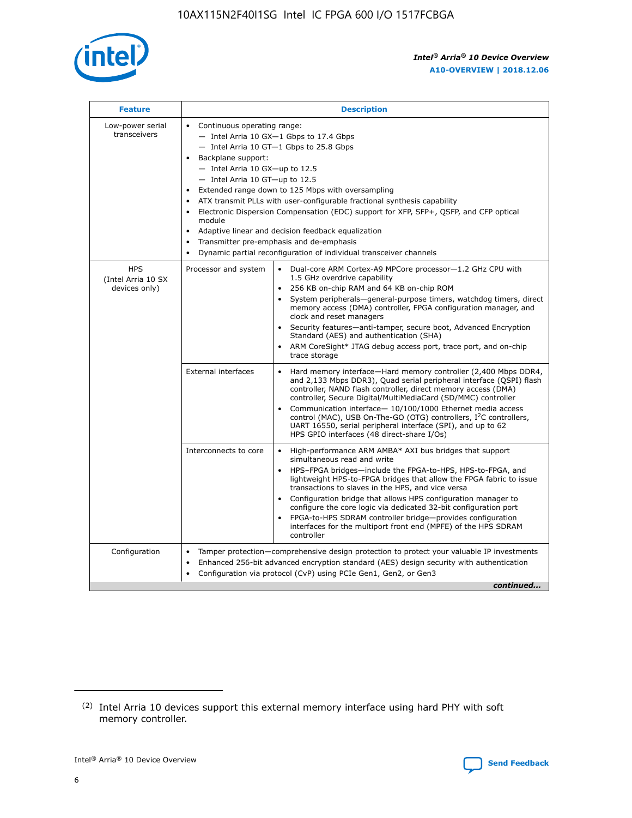

| <b>Feature</b>                                    | <b>Description</b>                                                                                                                                                                                                                                                                                                                                                                                                                                                                                                                                                                                                                         |
|---------------------------------------------------|--------------------------------------------------------------------------------------------------------------------------------------------------------------------------------------------------------------------------------------------------------------------------------------------------------------------------------------------------------------------------------------------------------------------------------------------------------------------------------------------------------------------------------------------------------------------------------------------------------------------------------------------|
| Low-power serial<br>transceivers                  | • Continuous operating range:<br>- Intel Arria 10 GX-1 Gbps to 17.4 Gbps<br>- Intel Arria 10 GT-1 Gbps to 25.8 Gbps<br>Backplane support:<br>$-$ Intel Arria 10 GX-up to 12.5<br>- Intel Arria 10 GT-up to 12.5<br>Extended range down to 125 Mbps with oversampling<br>ATX transmit PLLs with user-configurable fractional synthesis capability<br>Electronic Dispersion Compensation (EDC) support for XFP, SFP+, QSFP, and CFP optical<br>module<br>• Adaptive linear and decision feedback equalization<br>Transmitter pre-emphasis and de-emphasis<br>$\bullet$<br>Dynamic partial reconfiguration of individual transceiver channels |
| <b>HPS</b><br>(Intel Arria 10 SX<br>devices only) | Dual-core ARM Cortex-A9 MPCore processor-1.2 GHz CPU with<br>Processor and system<br>$\bullet$<br>1.5 GHz overdrive capability<br>256 KB on-chip RAM and 64 KB on-chip ROM<br>System peripherals-general-purpose timers, watchdog timers, direct<br>memory access (DMA) controller, FPGA configuration manager, and<br>clock and reset managers<br>Security features-anti-tamper, secure boot, Advanced Encryption<br>$\bullet$<br>Standard (AES) and authentication (SHA)<br>ARM CoreSight* JTAG debug access port, trace port, and on-chip<br>trace storage                                                                              |
|                                                   | <b>External interfaces</b><br>Hard memory interface-Hard memory controller (2,400 Mbps DDR4,<br>$\bullet$<br>and 2,133 Mbps DDR3), Quad serial peripheral interface (QSPI) flash<br>controller, NAND flash controller, direct memory access (DMA)<br>controller, Secure Digital/MultiMediaCard (SD/MMC) controller<br>Communication interface-10/100/1000 Ethernet media access<br>$\bullet$<br>control (MAC), USB On-The-GO (OTG) controllers, I <sup>2</sup> C controllers,<br>UART 16550, serial peripheral interface (SPI), and up to 62<br>HPS GPIO interfaces (48 direct-share I/Os)                                                 |
|                                                   | High-performance ARM AMBA* AXI bus bridges that support<br>Interconnects to core<br>$\bullet$<br>simultaneous read and write<br>HPS-FPGA bridges-include the FPGA-to-HPS, HPS-to-FPGA, and<br>$\bullet$<br>lightweight HPS-to-FPGA bridges that allow the FPGA fabric to issue<br>transactions to slaves in the HPS, and vice versa<br>Configuration bridge that allows HPS configuration manager to<br>configure the core logic via dedicated 32-bit configuration port<br>FPGA-to-HPS SDRAM controller bridge-provides configuration<br>interfaces for the multiport front end (MPFE) of the HPS SDRAM<br>controller                     |
| Configuration                                     | Tamper protection—comprehensive design protection to protect your valuable IP investments<br>Enhanced 256-bit advanced encryption standard (AES) design security with authentication<br>٠<br>Configuration via protocol (CvP) using PCIe Gen1, Gen2, or Gen3<br>continued                                                                                                                                                                                                                                                                                                                                                                  |

<sup>(2)</sup> Intel Arria 10 devices support this external memory interface using hard PHY with soft memory controller.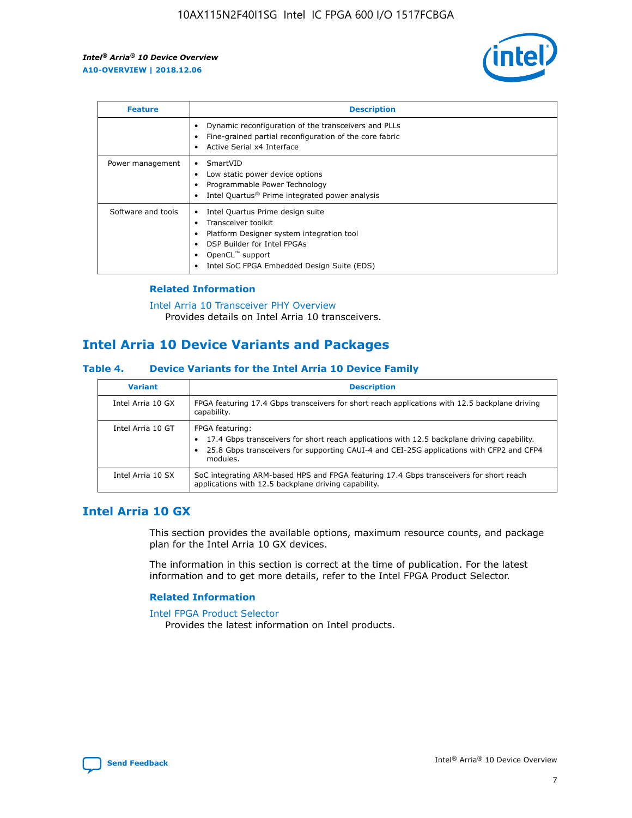

| <b>Feature</b>     | <b>Description</b>                                                                                                                                                                                               |
|--------------------|------------------------------------------------------------------------------------------------------------------------------------------------------------------------------------------------------------------|
|                    | Dynamic reconfiguration of the transceivers and PLLs<br>Fine-grained partial reconfiguration of the core fabric<br>Active Serial x4 Interface<br>$\bullet$                                                       |
| Power management   | SmartVID<br>Low static power device options<br>Programmable Power Technology<br>Intel Quartus <sup>®</sup> Prime integrated power analysis                                                                       |
| Software and tools | Intel Quartus Prime design suite<br>Transceiver toolkit<br>Platform Designer system integration tool<br>DSP Builder for Intel FPGAs<br>OpenCL <sup>™</sup> support<br>Intel SoC FPGA Embedded Design Suite (EDS) |

### **Related Information**

[Intel Arria 10 Transceiver PHY Overview](https://www.intel.com/content/www/us/en/programmable/documentation/nik1398707230472.html#nik1398706768037) Provides details on Intel Arria 10 transceivers.

### **Intel Arria 10 Device Variants and Packages**

#### **Table 4. Device Variants for the Intel Arria 10 Device Family**

| <b>Variant</b>    | <b>Description</b>                                                                                                                                                                                                     |
|-------------------|------------------------------------------------------------------------------------------------------------------------------------------------------------------------------------------------------------------------|
| Intel Arria 10 GX | FPGA featuring 17.4 Gbps transceivers for short reach applications with 12.5 backplane driving<br>capability.                                                                                                          |
| Intel Arria 10 GT | FPGA featuring:<br>17.4 Gbps transceivers for short reach applications with 12.5 backplane driving capability.<br>25.8 Gbps transceivers for supporting CAUI-4 and CEI-25G applications with CFP2 and CFP4<br>modules. |
| Intel Arria 10 SX | SoC integrating ARM-based HPS and FPGA featuring 17.4 Gbps transceivers for short reach<br>applications with 12.5 backplane driving capability.                                                                        |

### **Intel Arria 10 GX**

This section provides the available options, maximum resource counts, and package plan for the Intel Arria 10 GX devices.

The information in this section is correct at the time of publication. For the latest information and to get more details, refer to the Intel FPGA Product Selector.

### **Related Information**

#### [Intel FPGA Product Selector](http://www.altera.com/products/selector/psg-selector.html) Provides the latest information on Intel products.

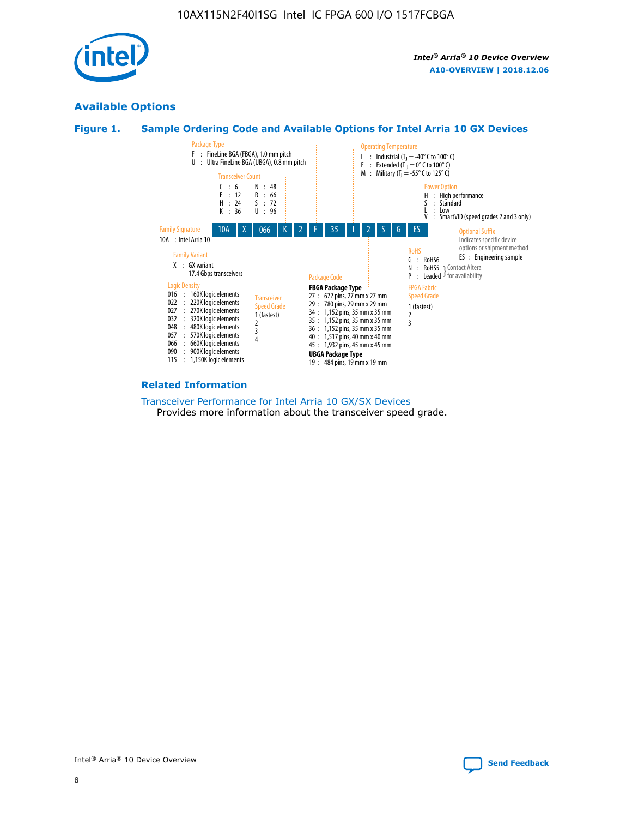

### **Available Options**





#### **Related Information**

[Transceiver Performance for Intel Arria 10 GX/SX Devices](https://www.intel.com/content/www/us/en/programmable/documentation/mcn1413182292568.html#mcn1413213965502) Provides more information about the transceiver speed grade.

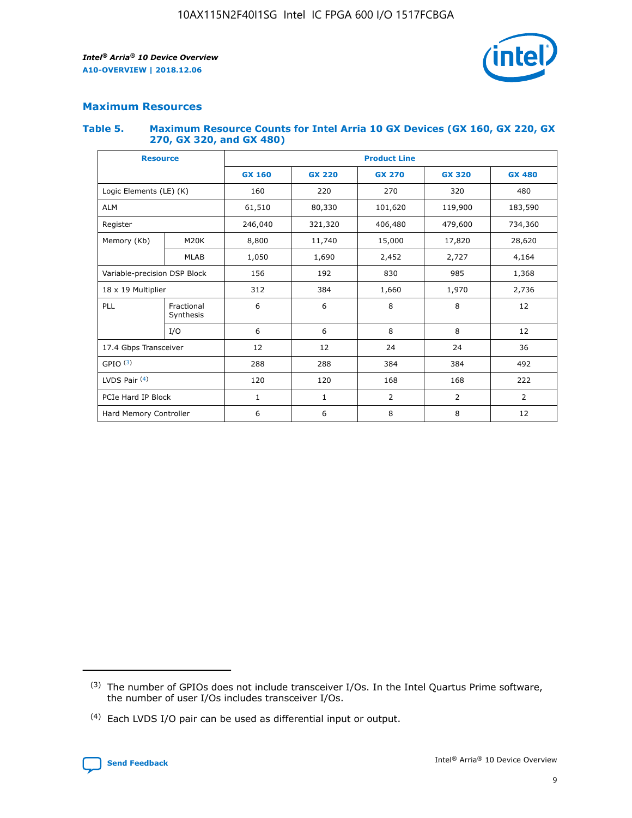

### **Maximum Resources**

### **Table 5. Maximum Resource Counts for Intel Arria 10 GX Devices (GX 160, GX 220, GX 270, GX 320, and GX 480)**

| <b>Resource</b>         |                                                          | <b>Product Line</b> |                                                 |            |                |                |  |  |  |
|-------------------------|----------------------------------------------------------|---------------------|-------------------------------------------------|------------|----------------|----------------|--|--|--|
|                         |                                                          | <b>GX 160</b>       | <b>GX 220</b><br><b>GX 270</b><br><b>GX 320</b> |            |                | <b>GX 480</b>  |  |  |  |
| Logic Elements (LE) (K) |                                                          | 160                 | 220                                             | 270        | 320            | 480            |  |  |  |
| <b>ALM</b>              |                                                          | 61,510              | 80,330                                          | 101,620    | 119,900        | 183,590        |  |  |  |
| Register                |                                                          | 246,040             | 321,320                                         | 406,480    | 479,600        | 734,360        |  |  |  |
| Memory (Kb)             | M <sub>20</sub> K                                        | 8,800               | 11,740                                          | 15,000     | 17,820         | 28,620         |  |  |  |
| <b>MLAB</b>             |                                                          | 1,050               | 1,690                                           | 2,452      | 2,727          | 4,164          |  |  |  |
|                         | Variable-precision DSP Block<br>156<br>192<br>830<br>985 |                     |                                                 |            | 1,368          |                |  |  |  |
| 18 x 19 Multiplier      |                                                          | 312                 | 384                                             | 1,660      | 1,970          | 2,736          |  |  |  |
| PLL                     | Fractional<br>Synthesis                                  | 6                   | 6                                               | 8          | 8              | 12             |  |  |  |
|                         | I/O                                                      | 6                   | 6                                               | 8          | 8              | 12             |  |  |  |
| 17.4 Gbps Transceiver   |                                                          | 12                  | 12                                              | 24         | 24             |                |  |  |  |
| GPIO <sup>(3)</sup>     |                                                          | 288                 | 288                                             | 384<br>384 |                | 492            |  |  |  |
| LVDS Pair $(4)$         |                                                          | 120                 | 120                                             | 168        | 168            | 222            |  |  |  |
| PCIe Hard IP Block      |                                                          | 1                   | 1                                               | 2          | $\overline{2}$ | $\overline{2}$ |  |  |  |
| Hard Memory Controller  |                                                          | 6                   | 6                                               | 8          | 8              | 12             |  |  |  |

<sup>(4)</sup> Each LVDS I/O pair can be used as differential input or output.



<sup>(3)</sup> The number of GPIOs does not include transceiver I/Os. In the Intel Quartus Prime software, the number of user I/Os includes transceiver I/Os.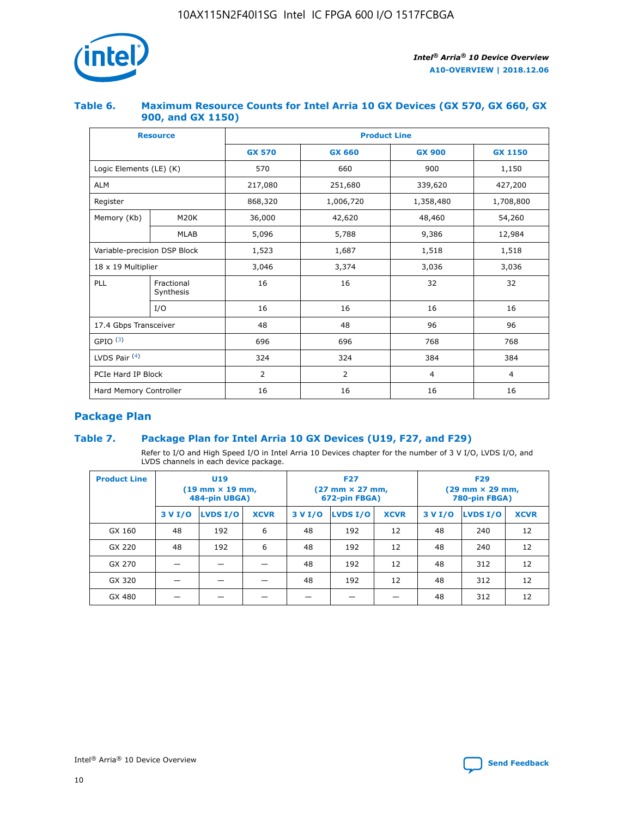

### **Table 6. Maximum Resource Counts for Intel Arria 10 GX Devices (GX 570, GX 660, GX 900, and GX 1150)**

|                              | <b>Resource</b>         | <b>Product Line</b> |                |                |                |  |  |  |
|------------------------------|-------------------------|---------------------|----------------|----------------|----------------|--|--|--|
|                              |                         | <b>GX 570</b>       | <b>GX 660</b>  |                | <b>GX 1150</b> |  |  |  |
| Logic Elements (LE) (K)      |                         | 570                 | 660            | 900            | 1,150          |  |  |  |
| <b>ALM</b>                   |                         | 217,080             | 251,680        | 339,620        | 427,200        |  |  |  |
| Register                     |                         | 868,320             | 1,006,720      | 1,358,480      | 1,708,800      |  |  |  |
| Memory (Kb)                  | <b>M20K</b>             | 36,000              | 42,620         | 48,460         | 54,260         |  |  |  |
|                              | <b>MLAB</b>             | 5,096               | 5,788          | 9,386          | 12,984         |  |  |  |
| Variable-precision DSP Block |                         | 1,523               | 1,687          | 1,518          | 1,518          |  |  |  |
| $18 \times 19$ Multiplier    |                         | 3,046               | 3,374          | 3,036          | 3,036          |  |  |  |
| PLL                          | Fractional<br>Synthesis | 16                  | 16             | 32             | 32             |  |  |  |
|                              | I/O                     | 16                  | 16             | 16             | 16             |  |  |  |
| 17.4 Gbps Transceiver        |                         | 48                  | 48<br>96       |                | 96             |  |  |  |
| GPIO <sup>(3)</sup>          |                         | 696                 | 696            | 768            | 768            |  |  |  |
| LVDS Pair $(4)$              |                         | 324                 | 324            |                | 384            |  |  |  |
| PCIe Hard IP Block           |                         | 2                   | $\overline{2}$ | $\overline{4}$ | 4              |  |  |  |
| Hard Memory Controller       |                         | 16                  | 16             | 16             | 16             |  |  |  |

### **Package Plan**

### **Table 7. Package Plan for Intel Arria 10 GX Devices (U19, F27, and F29)**

Refer to I/O and High Speed I/O in Intel Arria 10 Devices chapter for the number of 3 V I/O, LVDS I/O, and LVDS channels in each device package.

| <b>Product Line</b> | U <sub>19</sub><br>$(19 \text{ mm} \times 19 \text{ mm})$<br>484-pin UBGA) |          |             |         | <b>F27</b><br>(27 mm × 27 mm,<br>672-pin FBGA) |             | <b>F29</b><br>(29 mm × 29 mm,<br>780-pin FBGA) |          |             |  |
|---------------------|----------------------------------------------------------------------------|----------|-------------|---------|------------------------------------------------|-------------|------------------------------------------------|----------|-------------|--|
|                     | 3 V I/O                                                                    | LVDS I/O | <b>XCVR</b> | 3 V I/O | <b>LVDS I/O</b>                                | <b>XCVR</b> | 3 V I/O                                        | LVDS I/O | <b>XCVR</b> |  |
| GX 160              | 48                                                                         | 192      | 6           | 48      | 192                                            | 12          | 48                                             | 240      | 12          |  |
| GX 220              | 48                                                                         | 192      | 6           | 48      | 192                                            | 12          | 48                                             | 240      | 12          |  |
| GX 270              |                                                                            |          |             | 48      | 192                                            | 12          | 48                                             | 312      | 12          |  |
| GX 320              |                                                                            |          |             | 48      | 192                                            | 12          | 48                                             | 312      | 12          |  |
| GX 480              |                                                                            |          |             |         |                                                |             | 48                                             | 312      | 12          |  |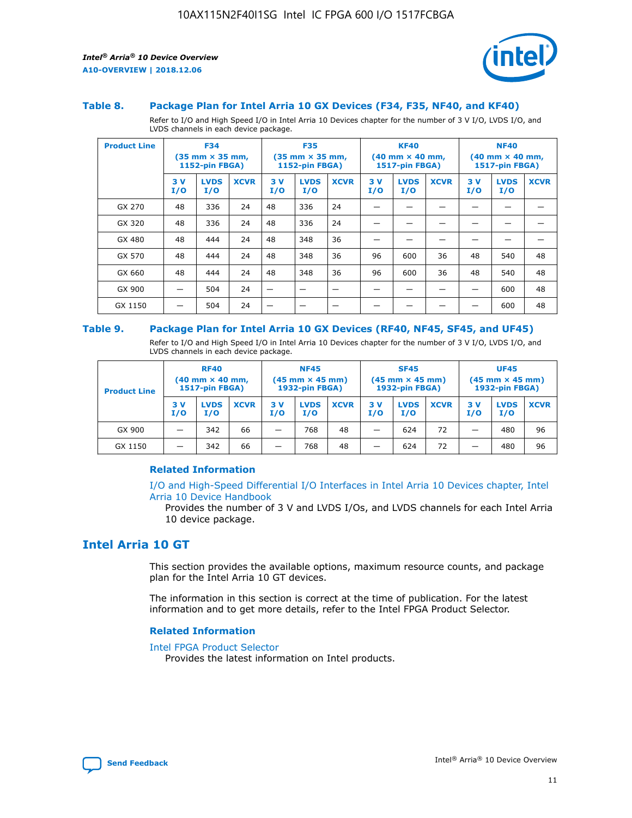

#### **Table 8. Package Plan for Intel Arria 10 GX Devices (F34, F35, NF40, and KF40)**

Refer to I/O and High Speed I/O in Intel Arria 10 Devices chapter for the number of 3 V I/O, LVDS I/O, and LVDS channels in each device package.

| <b>Product Line</b> | <b>F34</b><br>$(35 \text{ mm} \times 35 \text{ mm})$<br>1152-pin FBGA) |                    | <b>F35</b><br>$(35 \text{ mm} \times 35 \text{ mm})$<br><b>1152-pin FBGA)</b> |           | <b>KF40</b><br>$(40$ mm $\times$ 40 mm,<br>1517-pin FBGA) |             |           | <b>NF40</b><br>$(40$ mm $\times$ 40 mm,<br><b>1517-pin FBGA)</b> |             |            |                    |             |
|---------------------|------------------------------------------------------------------------|--------------------|-------------------------------------------------------------------------------|-----------|-----------------------------------------------------------|-------------|-----------|------------------------------------------------------------------|-------------|------------|--------------------|-------------|
|                     | 3V<br>I/O                                                              | <b>LVDS</b><br>I/O | <b>XCVR</b>                                                                   | 3V<br>I/O | <b>LVDS</b><br>I/O                                        | <b>XCVR</b> | 3V<br>I/O | <b>LVDS</b><br>I/O                                               | <b>XCVR</b> | 3 V<br>I/O | <b>LVDS</b><br>I/O | <b>XCVR</b> |
| GX 270              | 48                                                                     | 336                | 24                                                                            | 48        | 336                                                       | 24          |           |                                                                  |             |            |                    |             |
| GX 320              | 48                                                                     | 336                | 24                                                                            | 48        | 336                                                       | 24          |           |                                                                  |             |            |                    |             |
| GX 480              | 48                                                                     | 444                | 24                                                                            | 48        | 348                                                       | 36          |           |                                                                  |             |            |                    |             |
| GX 570              | 48                                                                     | 444                | 24                                                                            | 48        | 348                                                       | 36          | 96        | 600                                                              | 36          | 48         | 540                | 48          |
| GX 660              | 48                                                                     | 444                | 24                                                                            | 48        | 348                                                       | 36          | 96        | 600                                                              | 36          | 48         | 540                | 48          |
| GX 900              |                                                                        | 504                | 24                                                                            | -         |                                                           |             |           |                                                                  |             |            | 600                | 48          |
| GX 1150             |                                                                        | 504                | 24                                                                            |           |                                                           |             |           |                                                                  |             |            | 600                | 48          |

#### **Table 9. Package Plan for Intel Arria 10 GX Devices (RF40, NF45, SF45, and UF45)**

Refer to I/O and High Speed I/O in Intel Arria 10 Devices chapter for the number of 3 V I/O, LVDS I/O, and LVDS channels in each device package.

| <b>Product Line</b> | <b>RF40</b><br>$(40$ mm $\times$ 40 mm,<br>1517-pin FBGA) |                    | <b>NF45</b><br>$(45 \text{ mm} \times 45 \text{ mm})$<br><b>1932-pin FBGA)</b> |            |                    | <b>SF45</b><br>$(45 \text{ mm} \times 45 \text{ mm})$<br><b>1932-pin FBGA)</b> |            |                    | <b>UF45</b><br>$(45 \text{ mm} \times 45 \text{ mm})$<br><b>1932-pin FBGA)</b> |           |                    |             |
|---------------------|-----------------------------------------------------------|--------------------|--------------------------------------------------------------------------------|------------|--------------------|--------------------------------------------------------------------------------|------------|--------------------|--------------------------------------------------------------------------------|-----------|--------------------|-------------|
|                     | 3V<br>I/O                                                 | <b>LVDS</b><br>I/O | <b>XCVR</b>                                                                    | 3 V<br>I/O | <b>LVDS</b><br>I/O | <b>XCVR</b>                                                                    | 3 V<br>I/O | <b>LVDS</b><br>I/O | <b>XCVR</b>                                                                    | 3V<br>I/O | <b>LVDS</b><br>I/O | <b>XCVR</b> |
| GX 900              |                                                           | 342                | 66                                                                             | _          | 768                | 48                                                                             |            | 624                | 72                                                                             |           | 480                | 96          |
| GX 1150             |                                                           | 342                | 66                                                                             | _          | 768                | 48                                                                             |            | 624                | 72                                                                             |           | 480                | 96          |

### **Related Information**

[I/O and High-Speed Differential I/O Interfaces in Intel Arria 10 Devices chapter, Intel](https://www.intel.com/content/www/us/en/programmable/documentation/sam1403482614086.html#sam1403482030321) [Arria 10 Device Handbook](https://www.intel.com/content/www/us/en/programmable/documentation/sam1403482614086.html#sam1403482030321)

Provides the number of 3 V and LVDS I/Os, and LVDS channels for each Intel Arria 10 device package.

### **Intel Arria 10 GT**

This section provides the available options, maximum resource counts, and package plan for the Intel Arria 10 GT devices.

The information in this section is correct at the time of publication. For the latest information and to get more details, refer to the Intel FPGA Product Selector.

#### **Related Information**

#### [Intel FPGA Product Selector](http://www.altera.com/products/selector/psg-selector.html)

Provides the latest information on Intel products.

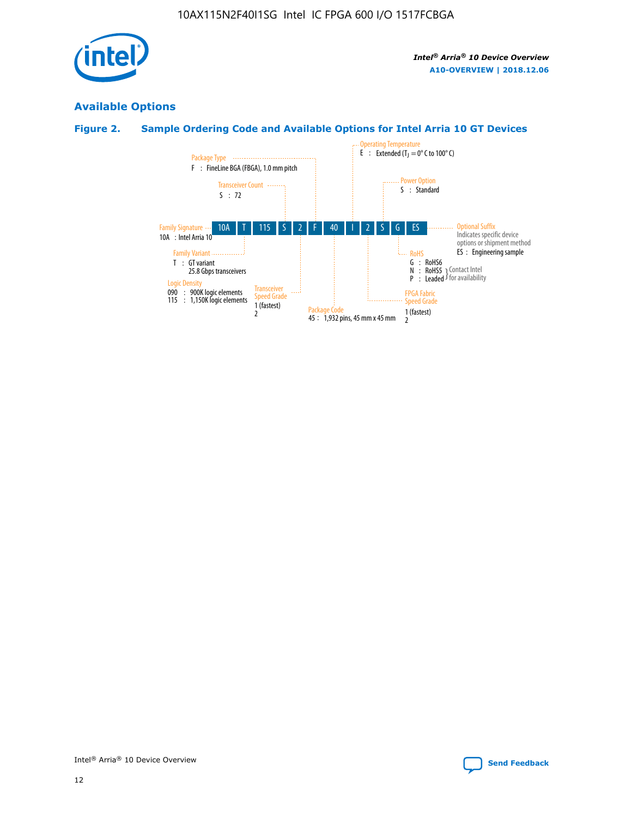

### **Available Options**

### **Figure 2. Sample Ordering Code and Available Options for Intel Arria 10 GT Devices**

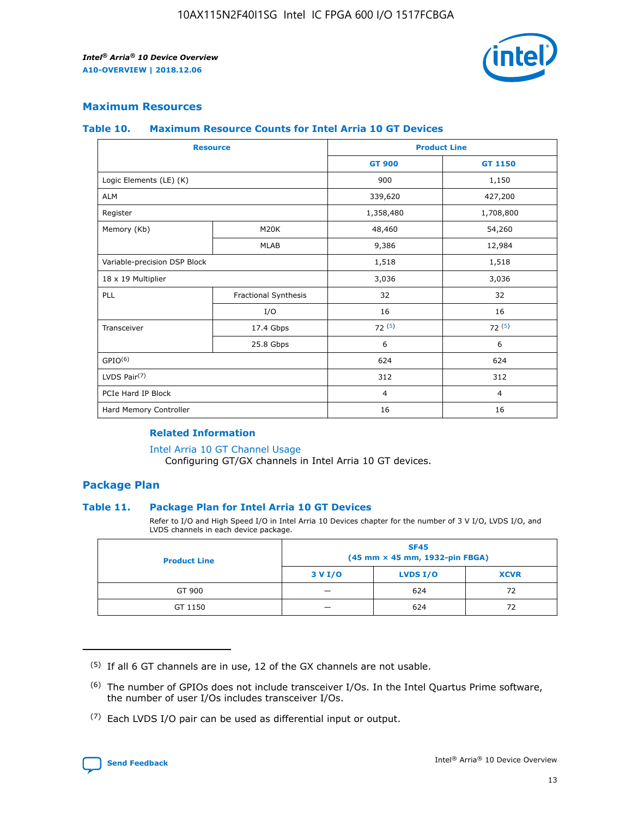

### **Maximum Resources**

#### **Table 10. Maximum Resource Counts for Intel Arria 10 GT Devices**

| <b>Resource</b>              |                      |                | <b>Product Line</b> |  |
|------------------------------|----------------------|----------------|---------------------|--|
|                              |                      | <b>GT 900</b>  | <b>GT 1150</b>      |  |
| Logic Elements (LE) (K)      |                      | 900            | 1,150               |  |
| <b>ALM</b>                   |                      | 339,620        | 427,200             |  |
| Register                     |                      | 1,358,480      | 1,708,800           |  |
| Memory (Kb)                  | M <sub>20</sub> K    | 48,460         | 54,260              |  |
|                              | <b>MLAB</b>          | 9,386          | 12,984              |  |
| Variable-precision DSP Block |                      | 1,518          | 1,518               |  |
| 18 x 19 Multiplier           |                      | 3,036          | 3,036               |  |
| PLL                          | Fractional Synthesis | 32             | 32                  |  |
|                              | I/O                  | 16             | 16                  |  |
| Transceiver                  | 17.4 Gbps            | 72(5)          | 72(5)               |  |
|                              | 25.8 Gbps            | 6              | 6                   |  |
| GPIO <sup>(6)</sup>          |                      | 624            | 624                 |  |
| LVDS Pair $(7)$              |                      | 312            | 312                 |  |
| PCIe Hard IP Block           |                      | $\overline{4}$ | $\overline{4}$      |  |
| Hard Memory Controller       |                      | 16             | 16                  |  |

### **Related Information**

#### [Intel Arria 10 GT Channel Usage](https://www.intel.com/content/www/us/en/programmable/documentation/nik1398707230472.html#nik1398707008178)

Configuring GT/GX channels in Intel Arria 10 GT devices.

### **Package Plan**

### **Table 11. Package Plan for Intel Arria 10 GT Devices**

Refer to I/O and High Speed I/O in Intel Arria 10 Devices chapter for the number of 3 V I/O, LVDS I/O, and LVDS channels in each device package.

| <b>Product Line</b> | <b>SF45</b><br>(45 mm × 45 mm, 1932-pin FBGA) |                 |             |  |  |  |
|---------------------|-----------------------------------------------|-----------------|-------------|--|--|--|
|                     | 3 V I/O                                       | <b>LVDS I/O</b> | <b>XCVR</b> |  |  |  |
| GT 900              |                                               | 624             | 72          |  |  |  |
| GT 1150             |                                               | 624             | 72          |  |  |  |

<sup>(7)</sup> Each LVDS I/O pair can be used as differential input or output.



 $(5)$  If all 6 GT channels are in use, 12 of the GX channels are not usable.

<sup>(6)</sup> The number of GPIOs does not include transceiver I/Os. In the Intel Quartus Prime software, the number of user I/Os includes transceiver I/Os.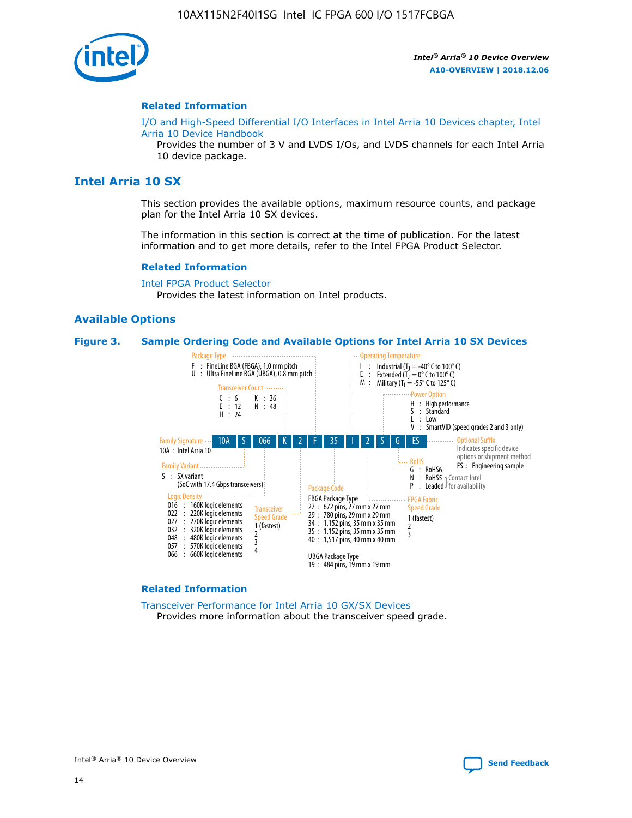

### **Related Information**

[I/O and High-Speed Differential I/O Interfaces in Intel Arria 10 Devices chapter, Intel](https://www.intel.com/content/www/us/en/programmable/documentation/sam1403482614086.html#sam1403482030321) [Arria 10 Device Handbook](https://www.intel.com/content/www/us/en/programmable/documentation/sam1403482614086.html#sam1403482030321)

Provides the number of 3 V and LVDS I/Os, and LVDS channels for each Intel Arria 10 device package.

### **Intel Arria 10 SX**

This section provides the available options, maximum resource counts, and package plan for the Intel Arria 10 SX devices.

The information in this section is correct at the time of publication. For the latest information and to get more details, refer to the Intel FPGA Product Selector.

#### **Related Information**

[Intel FPGA Product Selector](http://www.altera.com/products/selector/psg-selector.html) Provides the latest information on Intel products.

#### **Available Options**

#### **Figure 3. Sample Ordering Code and Available Options for Intel Arria 10 SX Devices**



#### **Related Information**

[Transceiver Performance for Intel Arria 10 GX/SX Devices](https://www.intel.com/content/www/us/en/programmable/documentation/mcn1413182292568.html#mcn1413213965502) Provides more information about the transceiver speed grade.

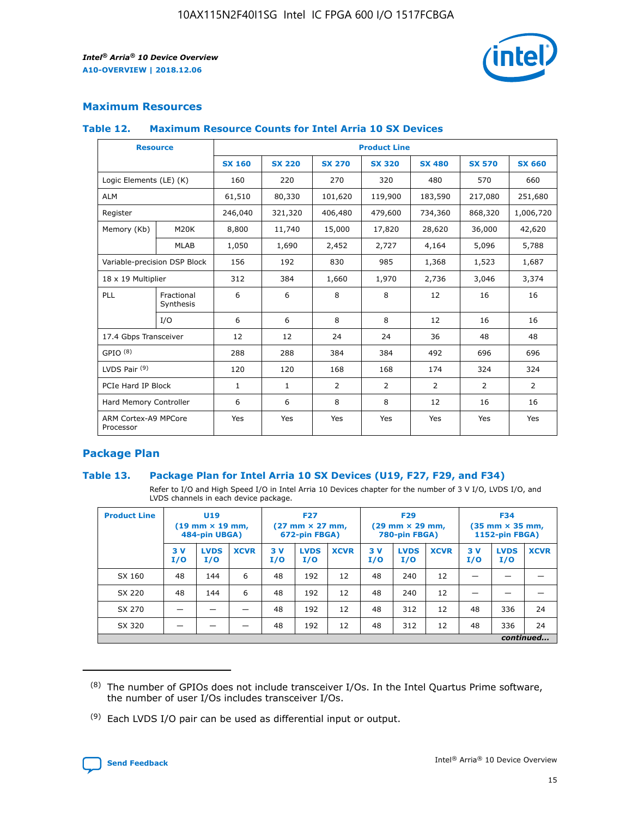

### **Maximum Resources**

### **Table 12. Maximum Resource Counts for Intel Arria 10 SX Devices**

| <b>Resource</b>                   |                         |               |               |                | <b>Product Line</b> |                |                |               |
|-----------------------------------|-------------------------|---------------|---------------|----------------|---------------------|----------------|----------------|---------------|
|                                   |                         | <b>SX 160</b> | <b>SX 220</b> | <b>SX 270</b>  | <b>SX 320</b>       | <b>SX 480</b>  | <b>SX 570</b>  | <b>SX 660</b> |
| Logic Elements (LE) (K)           |                         | 160           | 220           | 270            | 320                 | 480            | 570            | 660           |
| <b>ALM</b>                        |                         | 61,510        | 80,330        | 101,620        | 119,900             | 183,590        | 217,080        | 251,680       |
| Register                          |                         | 246,040       | 321,320       | 406,480        | 479,600             | 734,360        | 868,320        | 1,006,720     |
| Memory (Kb)                       | M20K                    | 8,800         | 11,740        | 15,000         | 17,820              | 28,620         | 36,000         | 42,620        |
|                                   | <b>MLAB</b>             | 1,050         | 1,690         | 2,452          | 2,727               | 4,164          | 5,096          | 5,788         |
| Variable-precision DSP Block      |                         | 156           | 192           | 830            | 985                 | 1,368          | 1,523          | 1,687         |
| 18 x 19 Multiplier                |                         | 312           | 384           | 1,660          | 1,970               | 2,736          | 3,046          | 3,374         |
| PLL                               | Fractional<br>Synthesis | 6             | 6             | 8              | 8                   | 12             | 16             | 16            |
|                                   | I/O                     | 6             | 6             | 8              | 8                   | 12             | 16             | 16            |
| 17.4 Gbps Transceiver             |                         | 12            | 12            | 24             | 24                  | 36             | 48             | 48            |
| GPIO <sup>(8)</sup>               |                         | 288           | 288           | 384            | 384                 | 492            | 696            | 696           |
| LVDS Pair $(9)$                   |                         | 120           | 120           | 168            | 168                 | 174            | 324            | 324           |
| PCIe Hard IP Block                |                         | $\mathbf{1}$  | $\mathbf{1}$  | $\overline{2}$ | $\overline{2}$      | $\overline{2}$ | $\overline{2}$ | 2             |
| Hard Memory Controller            |                         | 6             | 6             | 8              | 8                   | 12             | 16             | 16            |
| ARM Cortex-A9 MPCore<br>Processor |                         | Yes           | Yes           | Yes            | Yes                 | Yes            | Yes            | <b>Yes</b>    |

### **Package Plan**

### **Table 13. Package Plan for Intel Arria 10 SX Devices (U19, F27, F29, and F34)**

Refer to I/O and High Speed I/O in Intel Arria 10 Devices chapter for the number of 3 V I/O, LVDS I/O, and LVDS channels in each device package.

| <b>Product Line</b> | U <sub>19</sub><br>$(19 \text{ mm} \times 19 \text{ mm})$<br>484-pin UBGA) |                    | <b>F27</b><br>$(27 \text{ mm} \times 27 \text{ mm})$<br>672-pin FBGA) |           | <b>F29</b><br>$(29 \text{ mm} \times 29 \text{ mm})$<br>780-pin FBGA) |             |            | <b>F34</b><br>$(35 \text{ mm} \times 35 \text{ mm})$<br><b>1152-pin FBGA)</b> |             |           |                    |             |
|---------------------|----------------------------------------------------------------------------|--------------------|-----------------------------------------------------------------------|-----------|-----------------------------------------------------------------------|-------------|------------|-------------------------------------------------------------------------------|-------------|-----------|--------------------|-------------|
|                     | 3V<br>I/O                                                                  | <b>LVDS</b><br>I/O | <b>XCVR</b>                                                           | 3V<br>I/O | <b>LVDS</b><br>I/O                                                    | <b>XCVR</b> | 3 V<br>I/O | <b>LVDS</b><br>I/O                                                            | <b>XCVR</b> | 3V<br>I/O | <b>LVDS</b><br>I/O | <b>XCVR</b> |
| SX 160              | 48                                                                         | 144                | 6                                                                     | 48        | 192                                                                   | 12          | 48         | 240                                                                           | 12          | –         |                    |             |
| SX 220              | 48                                                                         | 144                | 6                                                                     | 48        | 192                                                                   | 12          | 48         | 240                                                                           | 12          |           |                    |             |
| SX 270              |                                                                            |                    |                                                                       | 48        | 192                                                                   | 12          | 48         | 312                                                                           | 12          | 48        | 336                | 24          |
| SX 320              |                                                                            |                    |                                                                       | 48        | 192                                                                   | 12          | 48         | 312                                                                           | 12          | 48        | 336                | 24          |
|                     | continued                                                                  |                    |                                                                       |           |                                                                       |             |            |                                                                               |             |           |                    |             |

 $(8)$  The number of GPIOs does not include transceiver I/Os. In the Intel Quartus Prime software, the number of user I/Os includes transceiver I/Os.

 $(9)$  Each LVDS I/O pair can be used as differential input or output.

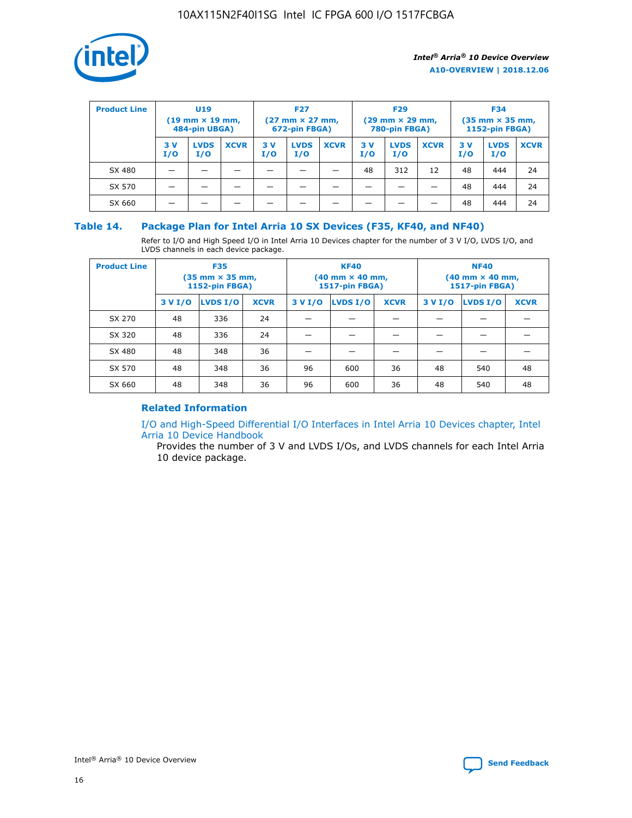

| <b>Product Line</b> | U <sub>19</sub><br>$(19 \text{ mm} \times 19 \text{ mm})$<br>484-pin UBGA) |                    | <b>F27</b><br>$(27 \text{ mm} \times 27 \text{ mm})$<br>672-pin FBGA) |           |                    | <b>F29</b><br>$(29 \text{ mm} \times 29 \text{ mm})$<br>780-pin FBGA) |           |                    | <b>F34</b><br>$(35$ mm $\times$ 35 mm,<br><b>1152-pin FBGA)</b> |           |                    |             |
|---------------------|----------------------------------------------------------------------------|--------------------|-----------------------------------------------------------------------|-----------|--------------------|-----------------------------------------------------------------------|-----------|--------------------|-----------------------------------------------------------------|-----------|--------------------|-------------|
|                     | 3V<br>I/O                                                                  | <b>LVDS</b><br>I/O | <b>XCVR</b>                                                           | 3V<br>I/O | <b>LVDS</b><br>I/O | <b>XCVR</b>                                                           | 3V<br>I/O | <b>LVDS</b><br>I/O | <b>XCVR</b>                                                     | 3V<br>I/O | <b>LVDS</b><br>I/O | <b>XCVR</b> |
| SX 480              |                                                                            |                    |                                                                       |           |                    |                                                                       | 48        | 312                | 12                                                              | 48        | 444                | 24          |
| SX 570              |                                                                            |                    |                                                                       |           |                    |                                                                       |           |                    |                                                                 | 48        | 444                | 24          |
| SX 660              |                                                                            |                    |                                                                       |           |                    |                                                                       |           |                    |                                                                 | 48        | 444                | 24          |

### **Table 14. Package Plan for Intel Arria 10 SX Devices (F35, KF40, and NF40)**

Refer to I/O and High Speed I/O in Intel Arria 10 Devices chapter for the number of 3 V I/O, LVDS I/O, and LVDS channels in each device package.

| <b>Product Line</b> | <b>F35</b><br>$(35 \text{ mm} \times 35 \text{ mm})$<br><b>1152-pin FBGA)</b> |          |             |                                           | <b>KF40</b><br>(40 mm × 40 mm,<br>1517-pin FBGA) |    | <b>NF40</b><br>$(40 \text{ mm} \times 40 \text{ mm})$<br>1517-pin FBGA) |          |             |  |
|---------------------|-------------------------------------------------------------------------------|----------|-------------|-------------------------------------------|--------------------------------------------------|----|-------------------------------------------------------------------------|----------|-------------|--|
|                     | 3 V I/O                                                                       | LVDS I/O | <b>XCVR</b> | <b>LVDS I/O</b><br><b>XCVR</b><br>3 V I/O |                                                  |    | 3 V I/O                                                                 | LVDS I/O | <b>XCVR</b> |  |
| SX 270              | 48                                                                            | 336      | 24          |                                           |                                                  |    |                                                                         |          |             |  |
| SX 320              | 48                                                                            | 336      | 24          |                                           |                                                  |    |                                                                         |          |             |  |
| SX 480              | 48                                                                            | 348      | 36          |                                           |                                                  |    |                                                                         |          |             |  |
| SX 570              | 48                                                                            | 348      | 36          | 96                                        | 600                                              | 36 | 48                                                                      | 540      | 48          |  |
| SX 660              | 48                                                                            | 348      | 36          | 96                                        | 600                                              | 36 | 48                                                                      | 540      | 48          |  |

### **Related Information**

[I/O and High-Speed Differential I/O Interfaces in Intel Arria 10 Devices chapter, Intel](https://www.intel.com/content/www/us/en/programmable/documentation/sam1403482614086.html#sam1403482030321) [Arria 10 Device Handbook](https://www.intel.com/content/www/us/en/programmable/documentation/sam1403482614086.html#sam1403482030321)

Provides the number of 3 V and LVDS I/Os, and LVDS channels for each Intel Arria 10 device package.

Intel<sup>®</sup> Arria<sup>®</sup> 10 Device Overview **[Send Feedback](mailto:FPGAtechdocfeedback@intel.com?subject=Feedback%20on%20Intel%20Arria%2010%20Device%20Overview%20(A10-OVERVIEW%202018.12.06)&body=We%20appreciate%20your%20feedback.%20In%20your%20comments,%20also%20specify%20the%20page%20number%20or%20paragraph.%20Thank%20you.)** Send Feedback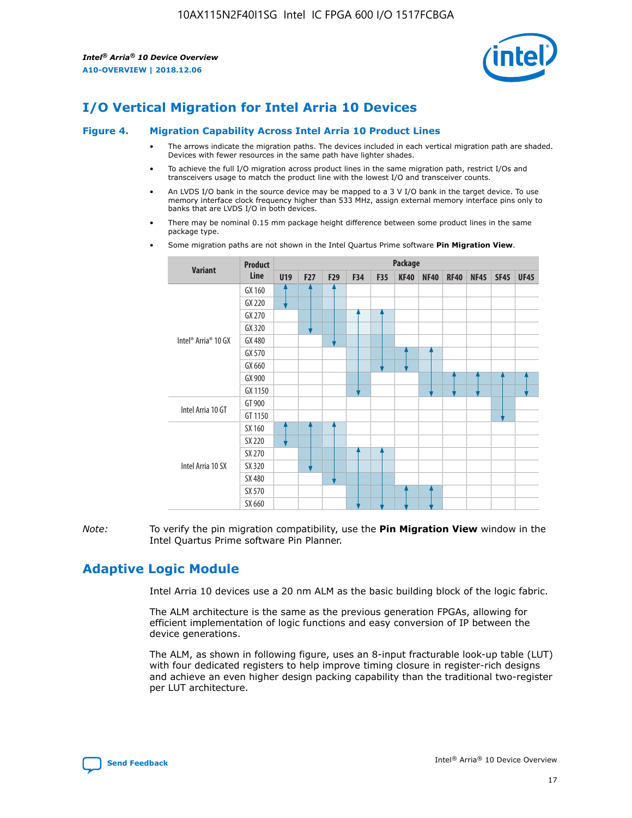

### **I/O Vertical Migration for Intel Arria 10 Devices**

#### **Figure 4. Migration Capability Across Intel Arria 10 Product Lines**

- The arrows indicate the migration paths. The devices included in each vertical migration path are shaded. Devices with fewer resources in the same path have lighter shades.
- To achieve the full I/O migration across product lines in the same migration path, restrict I/Os and transceivers usage to match the product line with the lowest I/O and transceiver counts.
- An LVDS I/O bank in the source device may be mapped to a 3 V I/O bank in the target device. To use memory interface clock frequency higher than 533 MHz, assign external memory interface pins only to banks that are LVDS I/O in both devices.
- There may be nominal 0.15 mm package height difference between some product lines in the same package type.
	- **Variant Product Line Package U19 F27 F29 F34 F35 KF40 NF40 RF40 NF45 SF45 UF45** Intel® Arria® 10 GX GX 160 GX 220 GX 270 GX 320 GX 480 GX 570 GX 660 GX 900 GX 1150 Intel Arria 10 GT GT 900 GT 1150 Intel Arria 10 SX SX 160 SX 220 SX 270 SX 320 SX 480 SX 570 SX 660
- Some migration paths are not shown in the Intel Quartus Prime software **Pin Migration View**.

*Note:* To verify the pin migration compatibility, use the **Pin Migration View** window in the Intel Quartus Prime software Pin Planner.

### **Adaptive Logic Module**

Intel Arria 10 devices use a 20 nm ALM as the basic building block of the logic fabric.

The ALM architecture is the same as the previous generation FPGAs, allowing for efficient implementation of logic functions and easy conversion of IP between the device generations.

The ALM, as shown in following figure, uses an 8-input fracturable look-up table (LUT) with four dedicated registers to help improve timing closure in register-rich designs and achieve an even higher design packing capability than the traditional two-register per LUT architecture.

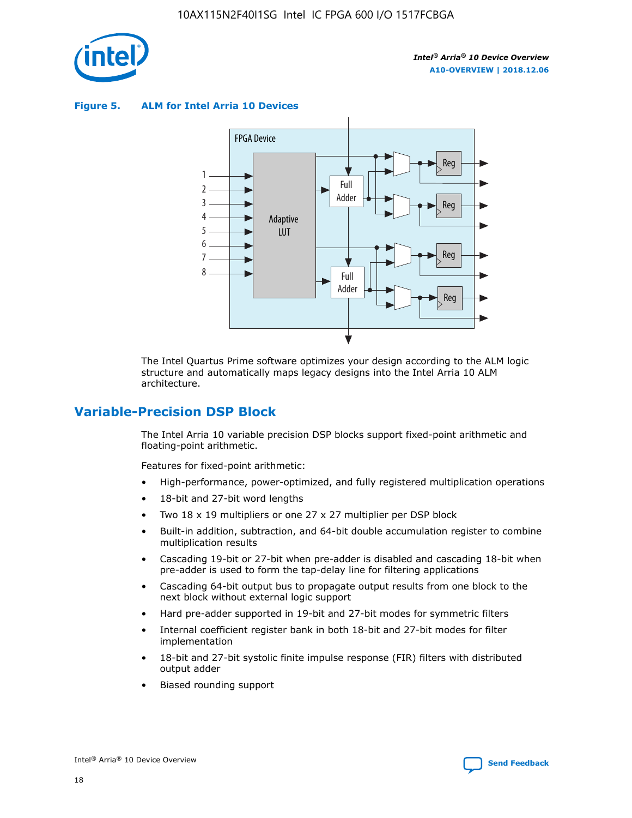

**Figure 5. ALM for Intel Arria 10 Devices**



The Intel Quartus Prime software optimizes your design according to the ALM logic structure and automatically maps legacy designs into the Intel Arria 10 ALM architecture.

### **Variable-Precision DSP Block**

The Intel Arria 10 variable precision DSP blocks support fixed-point arithmetic and floating-point arithmetic.

Features for fixed-point arithmetic:

- High-performance, power-optimized, and fully registered multiplication operations
- 18-bit and 27-bit word lengths
- Two 18 x 19 multipliers or one 27 x 27 multiplier per DSP block
- Built-in addition, subtraction, and 64-bit double accumulation register to combine multiplication results
- Cascading 19-bit or 27-bit when pre-adder is disabled and cascading 18-bit when pre-adder is used to form the tap-delay line for filtering applications
- Cascading 64-bit output bus to propagate output results from one block to the next block without external logic support
- Hard pre-adder supported in 19-bit and 27-bit modes for symmetric filters
- Internal coefficient register bank in both 18-bit and 27-bit modes for filter implementation
- 18-bit and 27-bit systolic finite impulse response (FIR) filters with distributed output adder
- Biased rounding support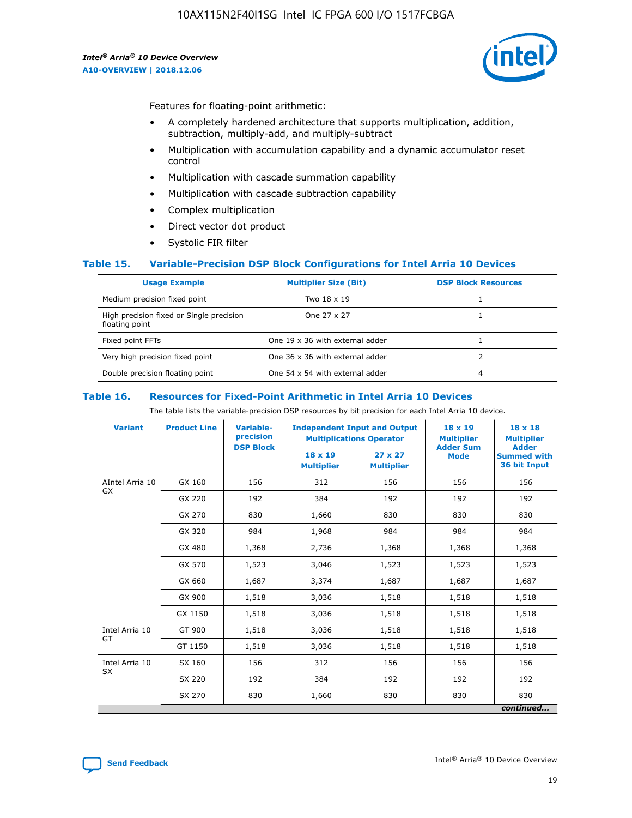

Features for floating-point arithmetic:

- A completely hardened architecture that supports multiplication, addition, subtraction, multiply-add, and multiply-subtract
- Multiplication with accumulation capability and a dynamic accumulator reset control
- Multiplication with cascade summation capability
- Multiplication with cascade subtraction capability
- Complex multiplication
- Direct vector dot product
- Systolic FIR filter

### **Table 15. Variable-Precision DSP Block Configurations for Intel Arria 10 Devices**

| <b>Usage Example</b>                                       | <b>Multiplier Size (Bit)</b>    | <b>DSP Block Resources</b> |
|------------------------------------------------------------|---------------------------------|----------------------------|
| Medium precision fixed point                               | Two 18 x 19                     |                            |
| High precision fixed or Single precision<br>floating point | One 27 x 27                     |                            |
| Fixed point FFTs                                           | One 19 x 36 with external adder |                            |
| Very high precision fixed point                            | One 36 x 36 with external adder |                            |
| Double precision floating point                            | One 54 x 54 with external adder | 4                          |

#### **Table 16. Resources for Fixed-Point Arithmetic in Intel Arria 10 Devices**

The table lists the variable-precision DSP resources by bit precision for each Intel Arria 10 device.

| <b>Variant</b>        | <b>Product Line</b> | <b>Variable-</b><br>precision<br><b>DSP Block</b> | <b>Independent Input and Output</b><br><b>Multiplications Operator</b> |                                     | 18 x 19<br><b>Multiplier</b><br><b>Adder Sum</b> | $18 \times 18$<br><b>Multiplier</b><br><b>Adder</b> |
|-----------------------|---------------------|---------------------------------------------------|------------------------------------------------------------------------|-------------------------------------|--------------------------------------------------|-----------------------------------------------------|
|                       |                     |                                                   | 18 x 19<br><b>Multiplier</b>                                           | $27 \times 27$<br><b>Multiplier</b> | <b>Mode</b>                                      | <b>Summed with</b><br>36 bit Input                  |
| AIntel Arria 10<br>GX | GX 160              | 156                                               | 312                                                                    | 156                                 | 156                                              | 156                                                 |
|                       | GX 220              | 192                                               | 384                                                                    | 192                                 | 192                                              | 192                                                 |
|                       | GX 270              | 830                                               | 1,660                                                                  | 830                                 | 830                                              | 830                                                 |
|                       | GX 320              | 984                                               | 1,968                                                                  | 984                                 | 984                                              | 984                                                 |
|                       | GX 480              | 1,368                                             | 2,736                                                                  | 1,368                               | 1,368                                            | 1,368                                               |
|                       | GX 570              | 1,523                                             | 3,046                                                                  | 1,523                               | 1,523                                            | 1,523                                               |
|                       | GX 660              | 1,687                                             | 3,374                                                                  | 1,687                               | 1,687                                            | 1,687                                               |
|                       | GX 900              | 1,518                                             | 3,036                                                                  | 1,518                               | 1,518                                            | 1,518                                               |
|                       | GX 1150             | 1,518                                             | 3,036                                                                  | 1,518                               | 1,518                                            | 1,518                                               |
| Intel Arria 10        | GT 900              | 1,518                                             | 3,036                                                                  | 1,518                               | 1,518                                            | 1,518                                               |
| GT                    | GT 1150             | 1,518                                             | 3,036                                                                  | 1,518                               | 1,518                                            | 1,518                                               |
| Intel Arria 10        | SX 160              | 156                                               | 312                                                                    | 156                                 | 156                                              | 156                                                 |
| <b>SX</b>             | SX 220              | 192                                               | 384                                                                    | 192                                 | 192                                              | 192                                                 |
|                       | SX 270              | 830                                               | 1,660                                                                  | 830                                 | 830                                              | 830                                                 |
|                       |                     |                                                   |                                                                        |                                     |                                                  | continued                                           |

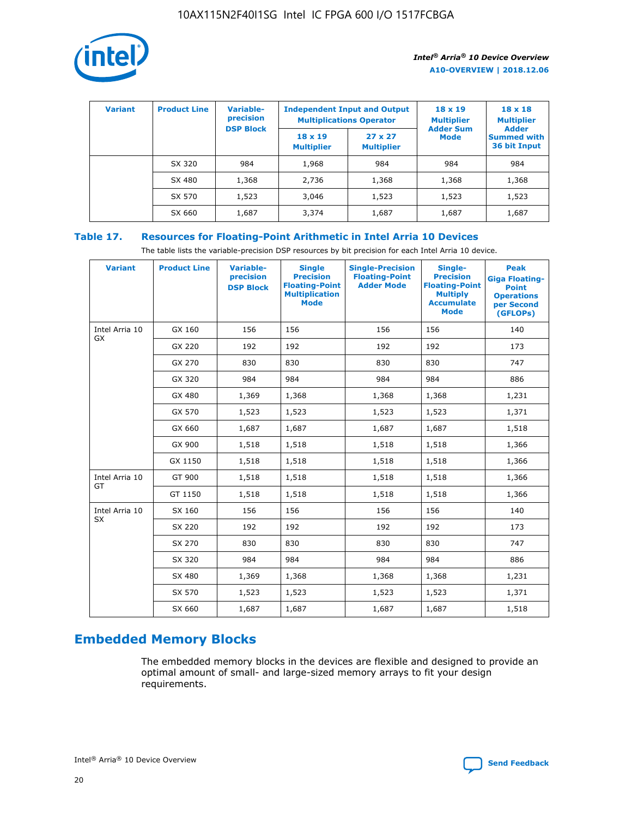

| <b>Variant</b> | <b>Product Line</b> | <b>Variable-</b><br>precision<br><b>DSP Block</b> | <b>Independent Input and Output</b><br><b>Multiplications Operator</b> |                                     | $18 \times 19$<br><b>Multiplier</b><br><b>Adder Sum</b> | $18 \times 18$<br><b>Multiplier</b><br><b>Adder</b> |  |
|----------------|---------------------|---------------------------------------------------|------------------------------------------------------------------------|-------------------------------------|---------------------------------------------------------|-----------------------------------------------------|--|
|                |                     |                                                   | $18 \times 19$<br><b>Multiplier</b>                                    | $27 \times 27$<br><b>Multiplier</b> | <b>Mode</b>                                             | <b>Summed with</b><br>36 bit Input                  |  |
|                | SX 320              | 984                                               | 1,968                                                                  | 984                                 | 984                                                     | 984                                                 |  |
|                | SX 480              | 1,368                                             | 2,736                                                                  | 1,368                               | 1,368                                                   | 1,368                                               |  |
|                | SX 570              | 1,523                                             | 3,046                                                                  | 1,523                               | 1,523                                                   | 1,523                                               |  |
|                | SX 660              | 1,687                                             | 3,374                                                                  | 1,687                               | 1,687                                                   | 1,687                                               |  |

### **Table 17. Resources for Floating-Point Arithmetic in Intel Arria 10 Devices**

The table lists the variable-precision DSP resources by bit precision for each Intel Arria 10 device.

| <b>Variant</b> | <b>Product Line</b> | <b>Variable-</b><br>precision<br><b>DSP Block</b> | <b>Single</b><br><b>Precision</b><br><b>Floating-Point</b><br><b>Multiplication</b><br><b>Mode</b> | <b>Single-Precision</b><br><b>Floating-Point</b><br><b>Adder Mode</b> | Single-<br><b>Precision</b><br><b>Floating-Point</b><br><b>Multiply</b><br><b>Accumulate</b><br><b>Mode</b> | <b>Peak</b><br><b>Giga Floating-</b><br><b>Point</b><br><b>Operations</b><br>per Second<br>(GFLOPs) |
|----------------|---------------------|---------------------------------------------------|----------------------------------------------------------------------------------------------------|-----------------------------------------------------------------------|-------------------------------------------------------------------------------------------------------------|-----------------------------------------------------------------------------------------------------|
| Intel Arria 10 | GX 160              | 156                                               | 156                                                                                                | 156                                                                   | 156                                                                                                         | 140                                                                                                 |
| <b>GX</b>      | GX 220              | 192                                               | 192                                                                                                | 192                                                                   | 192                                                                                                         | 173                                                                                                 |
|                | GX 270              | 830                                               | 830                                                                                                | 830                                                                   | 830                                                                                                         | 747                                                                                                 |
|                | GX 320              | 984                                               | 984                                                                                                | 984                                                                   | 984                                                                                                         | 886                                                                                                 |
|                | GX 480              | 1,369                                             | 1,368                                                                                              | 1,368                                                                 | 1,368                                                                                                       | 1,231                                                                                               |
|                | GX 570              | 1,523                                             | 1,523                                                                                              | 1,523                                                                 | 1,523                                                                                                       | 1,371                                                                                               |
|                | GX 660              | 1,687                                             | 1,687                                                                                              | 1,687                                                                 | 1,687                                                                                                       | 1,518                                                                                               |
|                | GX 900              | 1,518                                             | 1,518                                                                                              | 1,518                                                                 | 1,518                                                                                                       | 1,366                                                                                               |
|                | GX 1150             | 1,518                                             | 1,518                                                                                              | 1,518                                                                 | 1,518                                                                                                       | 1,366                                                                                               |
| Intel Arria 10 | GT 900              | 1,518                                             | 1,518                                                                                              | 1,518                                                                 | 1,518                                                                                                       | 1,366                                                                                               |
| GT             | GT 1150             | 1,518                                             | 1,518                                                                                              | 1,518                                                                 | 1,518                                                                                                       | 1,366                                                                                               |
| Intel Arria 10 | SX 160              | 156                                               | 156                                                                                                | 156                                                                   | 156                                                                                                         | 140                                                                                                 |
| SX             | SX 220              | 192                                               | 192                                                                                                | 192                                                                   | 192                                                                                                         | 173                                                                                                 |
|                | SX 270              | 830                                               | 830                                                                                                | 830                                                                   | 830                                                                                                         | 747                                                                                                 |
|                | SX 320              | 984                                               | 984                                                                                                | 984                                                                   | 984                                                                                                         | 886                                                                                                 |
|                | SX 480              | 1,369                                             | 1,368                                                                                              | 1,368                                                                 | 1,368                                                                                                       | 1,231                                                                                               |
|                | SX 570              | 1,523                                             | 1,523                                                                                              | 1,523                                                                 | 1,523                                                                                                       | 1,371                                                                                               |
|                | SX 660              | 1,687                                             | 1,687                                                                                              | 1,687                                                                 | 1,687                                                                                                       | 1,518                                                                                               |

### **Embedded Memory Blocks**

The embedded memory blocks in the devices are flexible and designed to provide an optimal amount of small- and large-sized memory arrays to fit your design requirements.

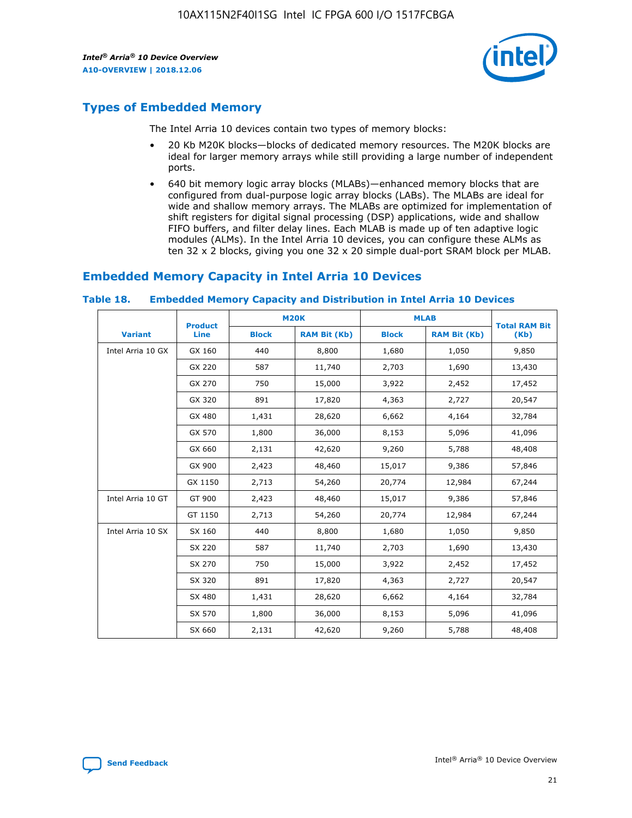

### **Types of Embedded Memory**

The Intel Arria 10 devices contain two types of memory blocks:

- 20 Kb M20K blocks—blocks of dedicated memory resources. The M20K blocks are ideal for larger memory arrays while still providing a large number of independent ports.
- 640 bit memory logic array blocks (MLABs)—enhanced memory blocks that are configured from dual-purpose logic array blocks (LABs). The MLABs are ideal for wide and shallow memory arrays. The MLABs are optimized for implementation of shift registers for digital signal processing (DSP) applications, wide and shallow FIFO buffers, and filter delay lines. Each MLAB is made up of ten adaptive logic modules (ALMs). In the Intel Arria 10 devices, you can configure these ALMs as ten 32 x 2 blocks, giving you one 32 x 20 simple dual-port SRAM block per MLAB.

### **Embedded Memory Capacity in Intel Arria 10 Devices**

|                   | <b>Product</b> |              | <b>M20K</b>         | <b>MLAB</b>  |                     | <b>Total RAM Bit</b> |
|-------------------|----------------|--------------|---------------------|--------------|---------------------|----------------------|
| <b>Variant</b>    | Line           | <b>Block</b> | <b>RAM Bit (Kb)</b> | <b>Block</b> | <b>RAM Bit (Kb)</b> | (Kb)                 |
| Intel Arria 10 GX | GX 160         | 440          | 8,800               | 1,680        | 1,050               | 9,850                |
|                   | GX 220         | 587          | 11,740              | 2,703        | 1,690               | 13,430               |
|                   | GX 270         | 750          | 15,000              | 3,922        | 2,452               | 17,452               |
|                   | GX 320         | 891          | 17,820              | 4,363        | 2,727               | 20,547               |
|                   | GX 480         | 1,431        | 28,620              | 6,662        | 4,164               | 32,784               |
|                   | GX 570         | 1,800        | 36,000              | 8,153        | 5,096               | 41,096               |
|                   | GX 660         | 2,131        | 42,620              | 9,260        | 5,788               | 48,408               |
|                   | GX 900         | 2,423        | 48,460              | 15,017       | 9,386               | 57,846               |
|                   | GX 1150        | 2,713        | 54,260              | 20,774       | 12,984              | 67,244               |
| Intel Arria 10 GT | GT 900         | 2,423        | 48,460              | 15,017       | 9,386               | 57,846               |
|                   | GT 1150        | 2,713        | 54,260              | 20,774       | 12,984              | 67,244               |
| Intel Arria 10 SX | SX 160         | 440          | 8,800               | 1,680        | 1,050               | 9,850                |
|                   | SX 220         | 587          | 11,740              | 2,703        | 1,690               | 13,430               |
|                   | SX 270         | 750          | 15,000              | 3,922        | 2,452               | 17,452               |
|                   | SX 320         | 891          | 17,820              | 4,363        | 2,727               | 20,547               |
|                   | SX 480         | 1,431        | 28,620              | 6,662        | 4,164               | 32,784               |
|                   | SX 570         | 1,800        | 36,000              | 8,153        | 5,096               | 41,096               |
|                   | SX 660         | 2,131        | 42,620              | 9,260        | 5,788               | 48,408               |

#### **Table 18. Embedded Memory Capacity and Distribution in Intel Arria 10 Devices**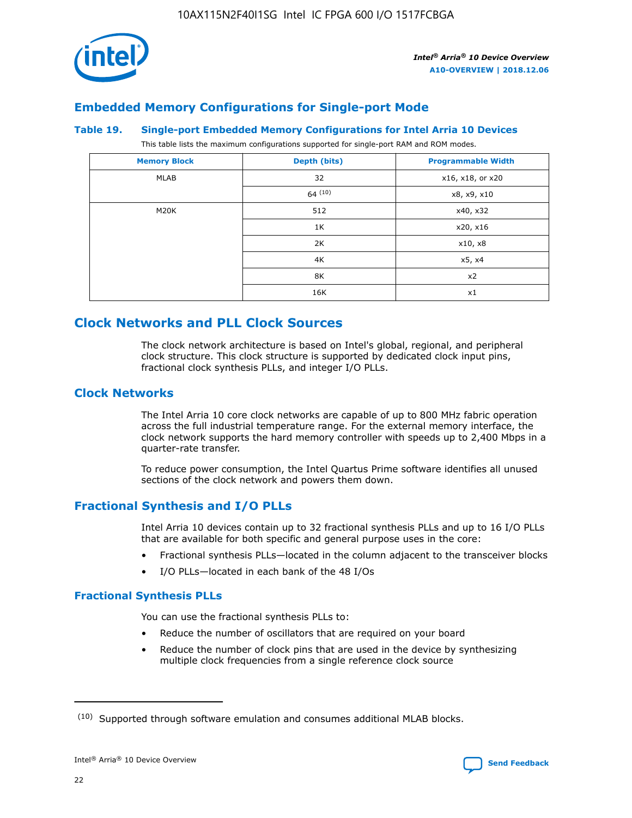

### **Embedded Memory Configurations for Single-port Mode**

### **Table 19. Single-port Embedded Memory Configurations for Intel Arria 10 Devices**

This table lists the maximum configurations supported for single-port RAM and ROM modes.

| <b>Memory Block</b> | Depth (bits) | <b>Programmable Width</b> |
|---------------------|--------------|---------------------------|
| MLAB                | 32           | x16, x18, or x20          |
|                     | 64(10)       | x8, x9, x10               |
| M20K                | 512          | x40, x32                  |
|                     | 1K           | x20, x16                  |
|                     | 2K           | x10, x8                   |
|                     | 4K           | x5, x4                    |
|                     | 8K           | x2                        |
|                     | 16K          | x1                        |

### **Clock Networks and PLL Clock Sources**

The clock network architecture is based on Intel's global, regional, and peripheral clock structure. This clock structure is supported by dedicated clock input pins, fractional clock synthesis PLLs, and integer I/O PLLs.

### **Clock Networks**

The Intel Arria 10 core clock networks are capable of up to 800 MHz fabric operation across the full industrial temperature range. For the external memory interface, the clock network supports the hard memory controller with speeds up to 2,400 Mbps in a quarter-rate transfer.

To reduce power consumption, the Intel Quartus Prime software identifies all unused sections of the clock network and powers them down.

### **Fractional Synthesis and I/O PLLs**

Intel Arria 10 devices contain up to 32 fractional synthesis PLLs and up to 16 I/O PLLs that are available for both specific and general purpose uses in the core:

- Fractional synthesis PLLs—located in the column adjacent to the transceiver blocks
- I/O PLLs—located in each bank of the 48 I/Os

### **Fractional Synthesis PLLs**

You can use the fractional synthesis PLLs to:

- Reduce the number of oscillators that are required on your board
- Reduce the number of clock pins that are used in the device by synthesizing multiple clock frequencies from a single reference clock source

<sup>(10)</sup> Supported through software emulation and consumes additional MLAB blocks.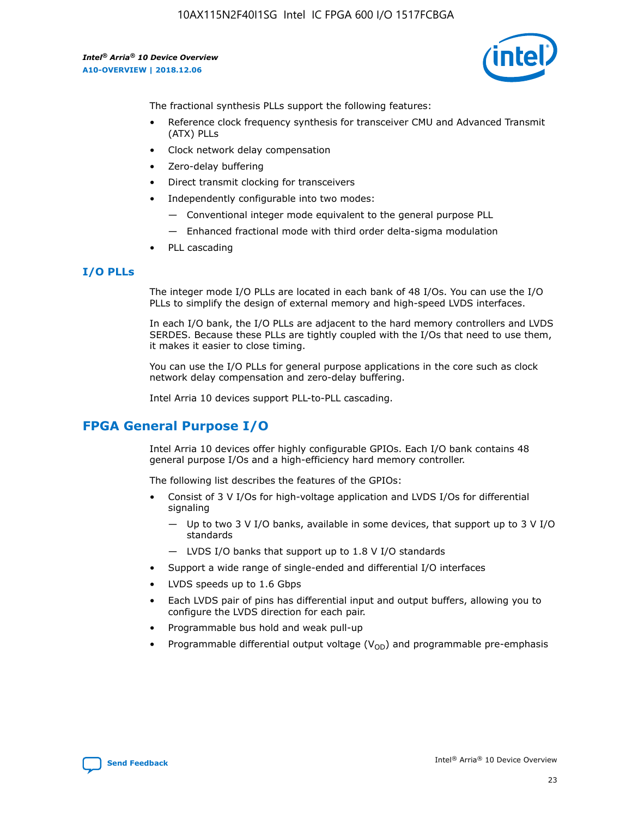10AX115N2F40I1SG Intel IC FPGA 600 I/O 1517FCBGA

*Intel® Arria® 10 Device Overview* **A10-OVERVIEW | 2018.12.06**



The fractional synthesis PLLs support the following features:

- Reference clock frequency synthesis for transceiver CMU and Advanced Transmit (ATX) PLLs
- Clock network delay compensation
- Zero-delay buffering
- Direct transmit clocking for transceivers
- Independently configurable into two modes:
	- Conventional integer mode equivalent to the general purpose PLL
	- Enhanced fractional mode with third order delta-sigma modulation
- PLL cascading

### **I/O PLLs**

The integer mode I/O PLLs are located in each bank of 48 I/Os. You can use the I/O PLLs to simplify the design of external memory and high-speed LVDS interfaces.

In each I/O bank, the I/O PLLs are adjacent to the hard memory controllers and LVDS SERDES. Because these PLLs are tightly coupled with the I/Os that need to use them, it makes it easier to close timing.

You can use the I/O PLLs for general purpose applications in the core such as clock network delay compensation and zero-delay buffering.

Intel Arria 10 devices support PLL-to-PLL cascading.

### **FPGA General Purpose I/O**

Intel Arria 10 devices offer highly configurable GPIOs. Each I/O bank contains 48 general purpose I/Os and a high-efficiency hard memory controller.

The following list describes the features of the GPIOs:

- Consist of 3 V I/Os for high-voltage application and LVDS I/Os for differential signaling
	- Up to two 3 V I/O banks, available in some devices, that support up to 3 V I/O standards
	- LVDS I/O banks that support up to 1.8 V I/O standards
- Support a wide range of single-ended and differential I/O interfaces
- LVDS speeds up to 1.6 Gbps
- Each LVDS pair of pins has differential input and output buffers, allowing you to configure the LVDS direction for each pair.
- Programmable bus hold and weak pull-up
- Programmable differential output voltage  $(V_{OD})$  and programmable pre-emphasis

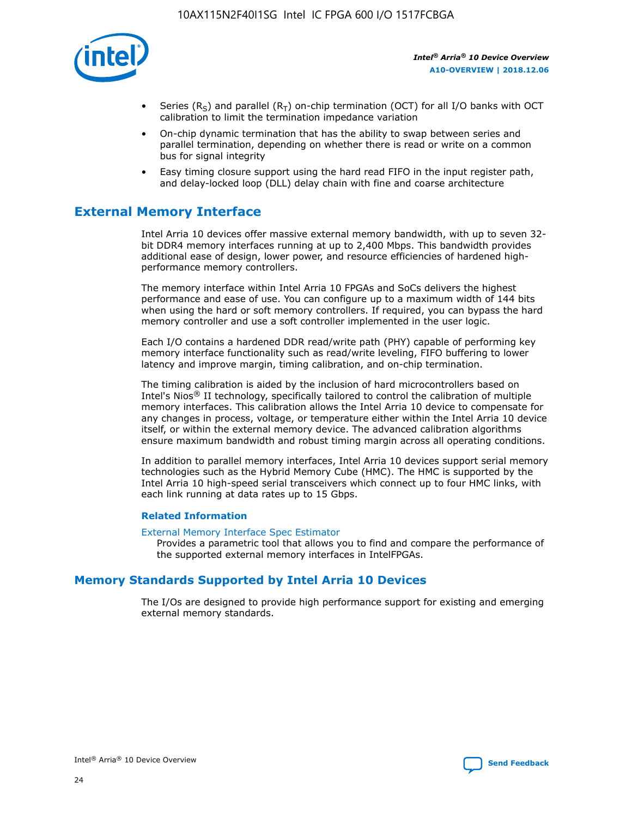

- Series (R<sub>S</sub>) and parallel (R<sub>T</sub>) on-chip termination (OCT) for all I/O banks with OCT calibration to limit the termination impedance variation
- On-chip dynamic termination that has the ability to swap between series and parallel termination, depending on whether there is read or write on a common bus for signal integrity
- Easy timing closure support using the hard read FIFO in the input register path, and delay-locked loop (DLL) delay chain with fine and coarse architecture

### **External Memory Interface**

Intel Arria 10 devices offer massive external memory bandwidth, with up to seven 32 bit DDR4 memory interfaces running at up to 2,400 Mbps. This bandwidth provides additional ease of design, lower power, and resource efficiencies of hardened highperformance memory controllers.

The memory interface within Intel Arria 10 FPGAs and SoCs delivers the highest performance and ease of use. You can configure up to a maximum width of 144 bits when using the hard or soft memory controllers. If required, you can bypass the hard memory controller and use a soft controller implemented in the user logic.

Each I/O contains a hardened DDR read/write path (PHY) capable of performing key memory interface functionality such as read/write leveling, FIFO buffering to lower latency and improve margin, timing calibration, and on-chip termination.

The timing calibration is aided by the inclusion of hard microcontrollers based on Intel's Nios® II technology, specifically tailored to control the calibration of multiple memory interfaces. This calibration allows the Intel Arria 10 device to compensate for any changes in process, voltage, or temperature either within the Intel Arria 10 device itself, or within the external memory device. The advanced calibration algorithms ensure maximum bandwidth and robust timing margin across all operating conditions.

In addition to parallel memory interfaces, Intel Arria 10 devices support serial memory technologies such as the Hybrid Memory Cube (HMC). The HMC is supported by the Intel Arria 10 high-speed serial transceivers which connect up to four HMC links, with each link running at data rates up to 15 Gbps.

### **Related Information**

#### [External Memory Interface Spec Estimator](http://www.altera.com/technology/memory/estimator/mem-emif-index.html)

Provides a parametric tool that allows you to find and compare the performance of the supported external memory interfaces in IntelFPGAs.

### **Memory Standards Supported by Intel Arria 10 Devices**

The I/Os are designed to provide high performance support for existing and emerging external memory standards.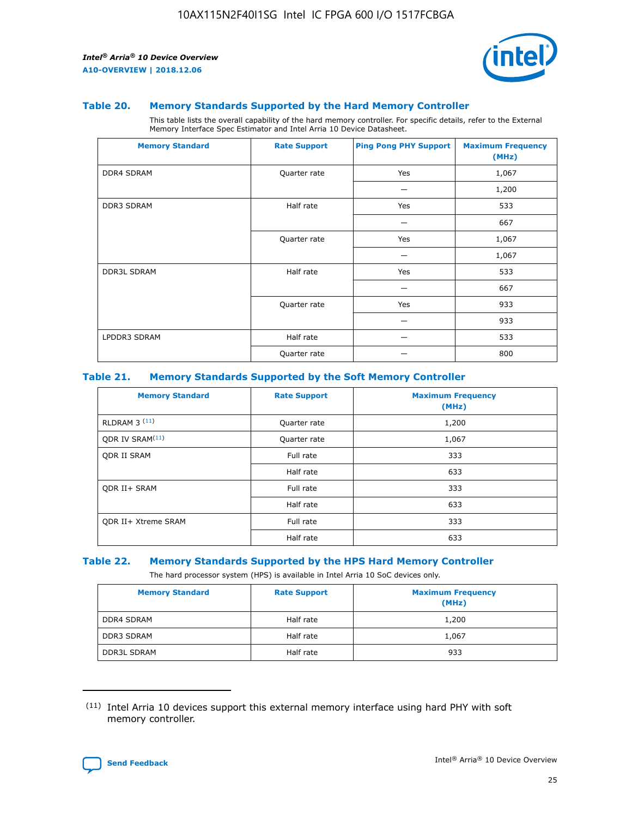

### **Table 20. Memory Standards Supported by the Hard Memory Controller**

This table lists the overall capability of the hard memory controller. For specific details, refer to the External Memory Interface Spec Estimator and Intel Arria 10 Device Datasheet.

| <b>Memory Standard</b> | <b>Rate Support</b> | <b>Ping Pong PHY Support</b> | <b>Maximum Frequency</b><br>(MHz) |
|------------------------|---------------------|------------------------------|-----------------------------------|
| <b>DDR4 SDRAM</b>      | Quarter rate        | Yes                          | 1,067                             |
|                        |                     |                              | 1,200                             |
| DDR3 SDRAM             | Half rate           | Yes                          | 533                               |
|                        |                     |                              | 667                               |
|                        | Quarter rate        | Yes                          | 1,067                             |
|                        |                     |                              | 1,067                             |
| <b>DDR3L SDRAM</b>     | Half rate           | Yes                          | 533                               |
|                        |                     |                              | 667                               |
|                        | Quarter rate        | Yes                          | 933                               |
|                        |                     |                              | 933                               |
| LPDDR3 SDRAM           | Half rate           |                              | 533                               |
|                        | Quarter rate        |                              | 800                               |

### **Table 21. Memory Standards Supported by the Soft Memory Controller**

| <b>Memory Standard</b>      | <b>Rate Support</b> | <b>Maximum Frequency</b><br>(MHz) |
|-----------------------------|---------------------|-----------------------------------|
| <b>RLDRAM 3 (11)</b>        | Quarter rate        | 1,200                             |
| ODR IV SRAM <sup>(11)</sup> | Quarter rate        | 1,067                             |
| <b>ODR II SRAM</b>          | Full rate           | 333                               |
|                             | Half rate           | 633                               |
| <b>ODR II+ SRAM</b>         | Full rate           | 333                               |
|                             | Half rate           | 633                               |
| <b>ODR II+ Xtreme SRAM</b>  | Full rate           | 333                               |
|                             | Half rate           | 633                               |

#### **Table 22. Memory Standards Supported by the HPS Hard Memory Controller**

The hard processor system (HPS) is available in Intel Arria 10 SoC devices only.

| <b>Memory Standard</b> | <b>Rate Support</b> | <b>Maximum Frequency</b><br>(MHz) |
|------------------------|---------------------|-----------------------------------|
| <b>DDR4 SDRAM</b>      | Half rate           | 1,200                             |
| <b>DDR3 SDRAM</b>      | Half rate           | 1,067                             |
| <b>DDR3L SDRAM</b>     | Half rate           | 933                               |

<sup>(11)</sup> Intel Arria 10 devices support this external memory interface using hard PHY with soft memory controller.

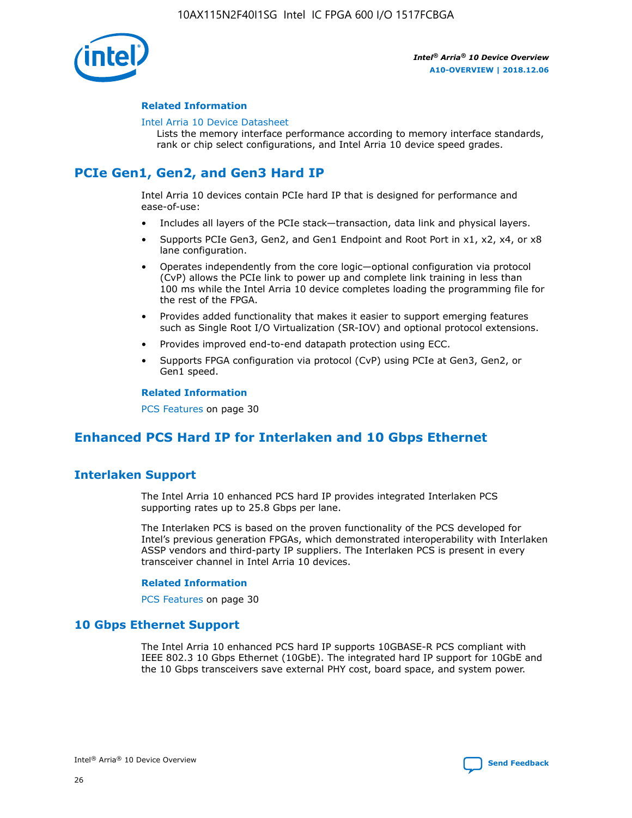

### **Related Information**

#### [Intel Arria 10 Device Datasheet](https://www.intel.com/content/www/us/en/programmable/documentation/mcn1413182292568.html#mcn1413182153340)

Lists the memory interface performance according to memory interface standards, rank or chip select configurations, and Intel Arria 10 device speed grades.

### **PCIe Gen1, Gen2, and Gen3 Hard IP**

Intel Arria 10 devices contain PCIe hard IP that is designed for performance and ease-of-use:

- Includes all layers of the PCIe stack—transaction, data link and physical layers.
- Supports PCIe Gen3, Gen2, and Gen1 Endpoint and Root Port in x1, x2, x4, or x8 lane configuration.
- Operates independently from the core logic—optional configuration via protocol (CvP) allows the PCIe link to power up and complete link training in less than 100 ms while the Intel Arria 10 device completes loading the programming file for the rest of the FPGA.
- Provides added functionality that makes it easier to support emerging features such as Single Root I/O Virtualization (SR-IOV) and optional protocol extensions.
- Provides improved end-to-end datapath protection using ECC.
- Supports FPGA configuration via protocol (CvP) using PCIe at Gen3, Gen2, or Gen1 speed.

#### **Related Information**

PCS Features on page 30

### **Enhanced PCS Hard IP for Interlaken and 10 Gbps Ethernet**

### **Interlaken Support**

The Intel Arria 10 enhanced PCS hard IP provides integrated Interlaken PCS supporting rates up to 25.8 Gbps per lane.

The Interlaken PCS is based on the proven functionality of the PCS developed for Intel's previous generation FPGAs, which demonstrated interoperability with Interlaken ASSP vendors and third-party IP suppliers. The Interlaken PCS is present in every transceiver channel in Intel Arria 10 devices.

### **Related Information**

PCS Features on page 30

### **10 Gbps Ethernet Support**

The Intel Arria 10 enhanced PCS hard IP supports 10GBASE-R PCS compliant with IEEE 802.3 10 Gbps Ethernet (10GbE). The integrated hard IP support for 10GbE and the 10 Gbps transceivers save external PHY cost, board space, and system power.

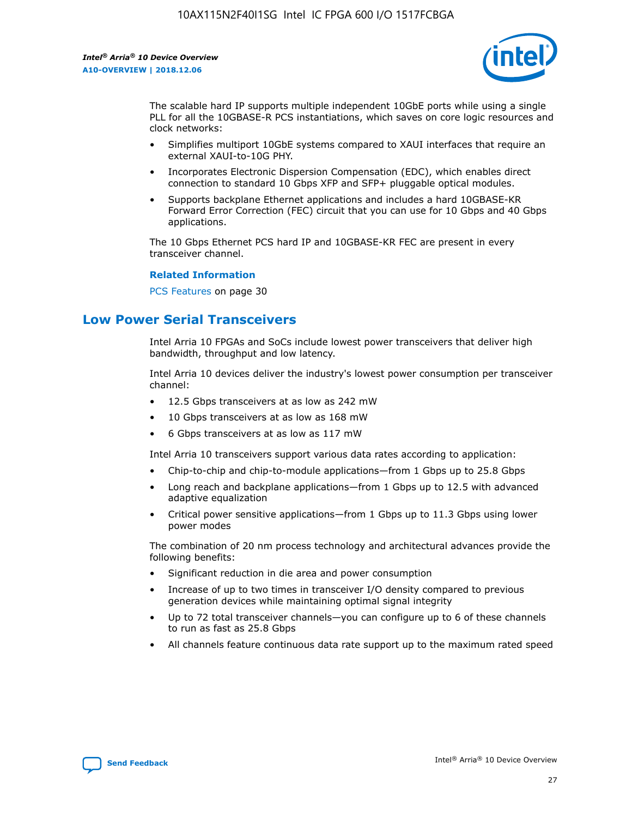

The scalable hard IP supports multiple independent 10GbE ports while using a single PLL for all the 10GBASE-R PCS instantiations, which saves on core logic resources and clock networks:

- Simplifies multiport 10GbE systems compared to XAUI interfaces that require an external XAUI-to-10G PHY.
- Incorporates Electronic Dispersion Compensation (EDC), which enables direct connection to standard 10 Gbps XFP and SFP+ pluggable optical modules.
- Supports backplane Ethernet applications and includes a hard 10GBASE-KR Forward Error Correction (FEC) circuit that you can use for 10 Gbps and 40 Gbps applications.

The 10 Gbps Ethernet PCS hard IP and 10GBASE-KR FEC are present in every transceiver channel.

### **Related Information**

PCS Features on page 30

### **Low Power Serial Transceivers**

Intel Arria 10 FPGAs and SoCs include lowest power transceivers that deliver high bandwidth, throughput and low latency.

Intel Arria 10 devices deliver the industry's lowest power consumption per transceiver channel:

- 12.5 Gbps transceivers at as low as 242 mW
- 10 Gbps transceivers at as low as 168 mW
- 6 Gbps transceivers at as low as 117 mW

Intel Arria 10 transceivers support various data rates according to application:

- Chip-to-chip and chip-to-module applications—from 1 Gbps up to 25.8 Gbps
- Long reach and backplane applications—from 1 Gbps up to 12.5 with advanced adaptive equalization
- Critical power sensitive applications—from 1 Gbps up to 11.3 Gbps using lower power modes

The combination of 20 nm process technology and architectural advances provide the following benefits:

- Significant reduction in die area and power consumption
- Increase of up to two times in transceiver I/O density compared to previous generation devices while maintaining optimal signal integrity
- Up to 72 total transceiver channels—you can configure up to 6 of these channels to run as fast as 25.8 Gbps
- All channels feature continuous data rate support up to the maximum rated speed

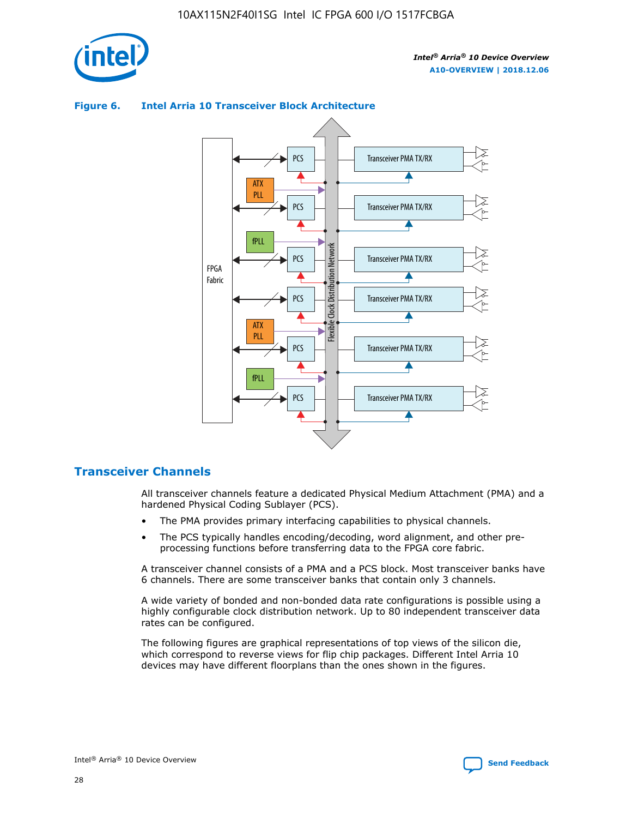



### **Figure 6. Intel Arria 10 Transceiver Block Architecture**

### **Transceiver Channels**

All transceiver channels feature a dedicated Physical Medium Attachment (PMA) and a hardened Physical Coding Sublayer (PCS).

- The PMA provides primary interfacing capabilities to physical channels.
- The PCS typically handles encoding/decoding, word alignment, and other preprocessing functions before transferring data to the FPGA core fabric.

A transceiver channel consists of a PMA and a PCS block. Most transceiver banks have 6 channels. There are some transceiver banks that contain only 3 channels.

A wide variety of bonded and non-bonded data rate configurations is possible using a highly configurable clock distribution network. Up to 80 independent transceiver data rates can be configured.

The following figures are graphical representations of top views of the silicon die, which correspond to reverse views for flip chip packages. Different Intel Arria 10 devices may have different floorplans than the ones shown in the figures.

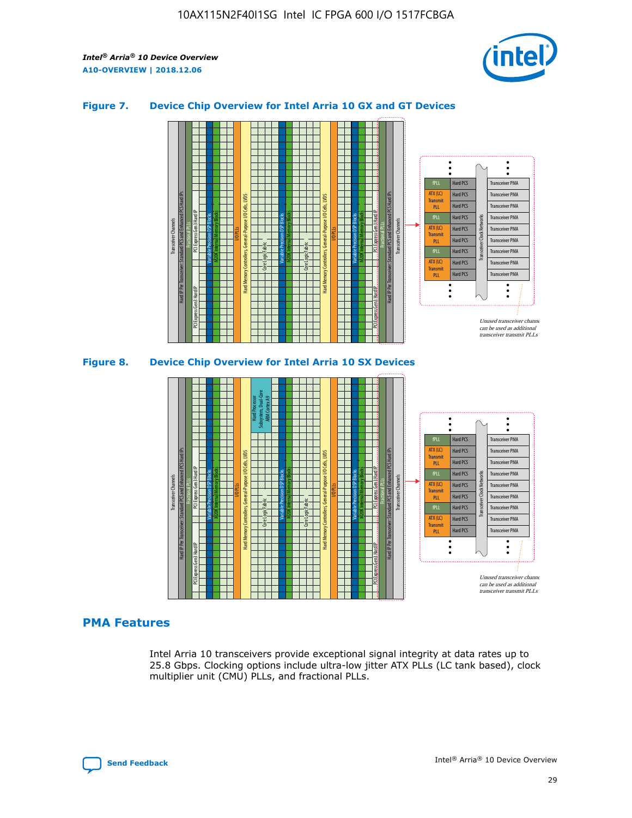

### **Figure 7. Device Chip Overview for Intel Arria 10 GX and GT Devices**



M20K Internal Memory Blocks Core Logic Fabric Transceiver Channels Hard IP Per Transceiver: Standard PCS and Enhanced PCS Hard IPs PCI Express Gen3 Hard IP Fractional PLLs M20K Internal Memory Blocks PCI Express Gen3 Hard IP Variable Precision DSP Blocks I/O PLLs Hard Memory Controllers, General-Purpose I/O Cells, LVDS Hard Processor Subsystem, Dual-Core ARM Cortex A9 M20K Internal Memory Blocks Variable Precision DSP Blocks M20K Internal Memory Blocks Core Logic Fabric I/O PLLs Hard Memory Controllers, General-Purpose I/O Cells, LVDS M20K Internal Memory Blocks Variable Precision DSP Blocks M20K Internal Memory Blocks Transceiver Channels Hard IP Per Transceiver: Standard PCS and Enhanced PCS Hard IPs PCI Express Gen3 Hard IP Fractional PLLs PCI Express Gen3 Hard IP Hard PCS Hard PCS Hard PCS Hard PCS Hard PCS Hard PCS Hard PCS Hard PCS Hard PCS Transceiver PMA Transceiver PMA Transceiver PMA Transceiver PMA Transceiver PMA Transceiver PMA Transceiver PMA Unused transceiver chann can be used as additional transceiver transmit PLLs Transceiver PMA Transceiver PMA Transceiver Clock Networks fPLL ATX (LC) **Transmit** PLL fPLL ATX (LC) Transmi PLL fPLL ATX (LC) **Transmit** PLL

### **PMA Features**

Intel Arria 10 transceivers provide exceptional signal integrity at data rates up to 25.8 Gbps. Clocking options include ultra-low jitter ATX PLLs (LC tank based), clock multiplier unit (CMU) PLLs, and fractional PLLs.

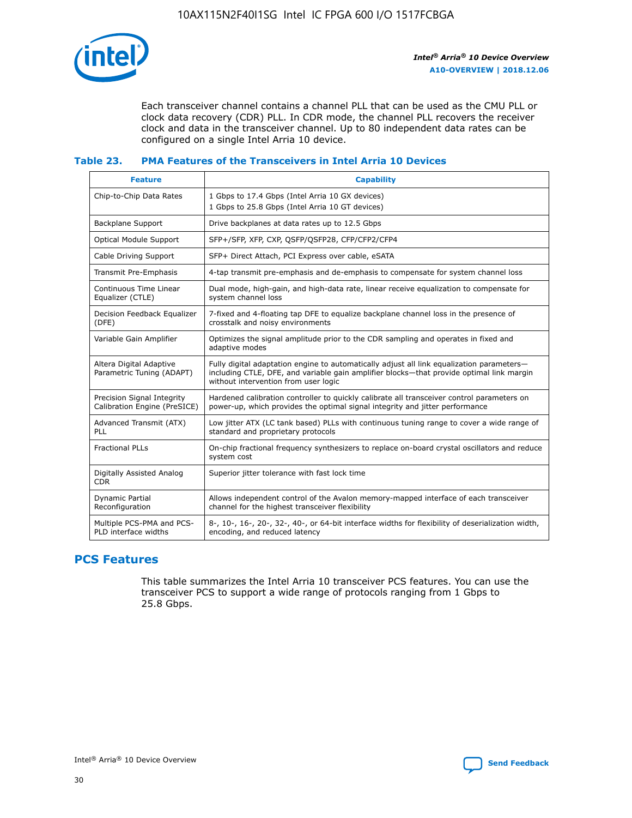

Each transceiver channel contains a channel PLL that can be used as the CMU PLL or clock data recovery (CDR) PLL. In CDR mode, the channel PLL recovers the receiver clock and data in the transceiver channel. Up to 80 independent data rates can be configured on a single Intel Arria 10 device.

### **Table 23. PMA Features of the Transceivers in Intel Arria 10 Devices**

| <b>Feature</b>                                             | <b>Capability</b>                                                                                                                                                                                                             |
|------------------------------------------------------------|-------------------------------------------------------------------------------------------------------------------------------------------------------------------------------------------------------------------------------|
| Chip-to-Chip Data Rates                                    | 1 Gbps to 17.4 Gbps (Intel Arria 10 GX devices)<br>1 Gbps to 25.8 Gbps (Intel Arria 10 GT devices)                                                                                                                            |
| Backplane Support                                          | Drive backplanes at data rates up to 12.5 Gbps                                                                                                                                                                                |
| <b>Optical Module Support</b>                              | SFP+/SFP, XFP, CXP, QSFP/QSFP28, CFP/CFP2/CFP4                                                                                                                                                                                |
| Cable Driving Support                                      | SFP+ Direct Attach, PCI Express over cable, eSATA                                                                                                                                                                             |
| Transmit Pre-Emphasis                                      | 4-tap transmit pre-emphasis and de-emphasis to compensate for system channel loss                                                                                                                                             |
| Continuous Time Linear<br>Equalizer (CTLE)                 | Dual mode, high-gain, and high-data rate, linear receive equalization to compensate for<br>system channel loss                                                                                                                |
| Decision Feedback Equalizer<br>(DFE)                       | 7-fixed and 4-floating tap DFE to equalize backplane channel loss in the presence of<br>crosstalk and noisy environments                                                                                                      |
| Variable Gain Amplifier                                    | Optimizes the signal amplitude prior to the CDR sampling and operates in fixed and<br>adaptive modes                                                                                                                          |
| Altera Digital Adaptive<br>Parametric Tuning (ADAPT)       | Fully digital adaptation engine to automatically adjust all link equalization parameters-<br>including CTLE, DFE, and variable gain amplifier blocks—that provide optimal link margin<br>without intervention from user logic |
| Precision Signal Integrity<br>Calibration Engine (PreSICE) | Hardened calibration controller to quickly calibrate all transceiver control parameters on<br>power-up, which provides the optimal signal integrity and jitter performance                                                    |
| Advanced Transmit (ATX)<br><b>PLL</b>                      | Low jitter ATX (LC tank based) PLLs with continuous tuning range to cover a wide range of<br>standard and proprietary protocols                                                                                               |
| <b>Fractional PLLs</b>                                     | On-chip fractional frequency synthesizers to replace on-board crystal oscillators and reduce<br>system cost                                                                                                                   |
| Digitally Assisted Analog<br><b>CDR</b>                    | Superior jitter tolerance with fast lock time                                                                                                                                                                                 |
| Dynamic Partial<br>Reconfiguration                         | Allows independent control of the Avalon memory-mapped interface of each transceiver<br>channel for the highest transceiver flexibility                                                                                       |
| Multiple PCS-PMA and PCS-<br>PLD interface widths          | 8-, 10-, 16-, 20-, 32-, 40-, or 64-bit interface widths for flexibility of deserialization width,<br>encoding, and reduced latency                                                                                            |

### **PCS Features**

This table summarizes the Intel Arria 10 transceiver PCS features. You can use the transceiver PCS to support a wide range of protocols ranging from 1 Gbps to 25.8 Gbps.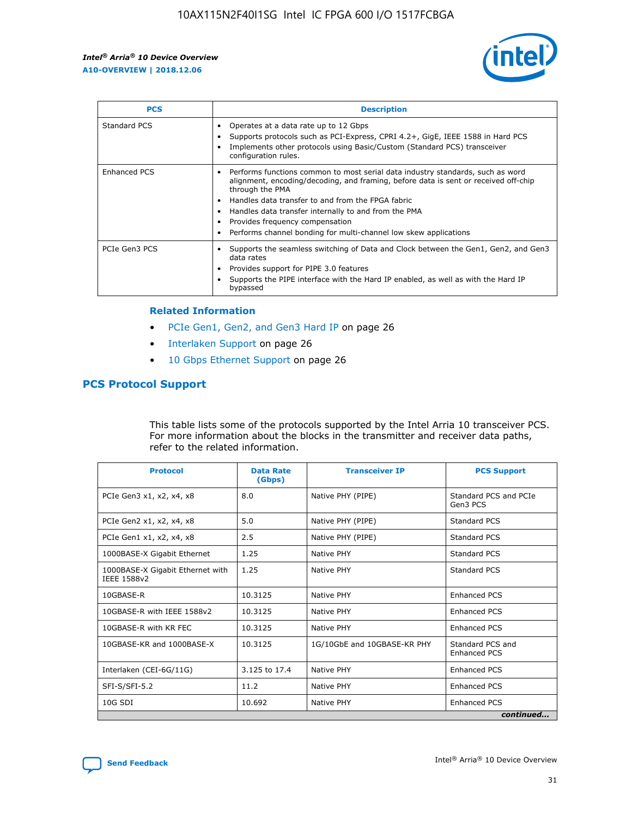

| <b>PCS</b>    | <b>Description</b>                                                                                                                                                                                                                                                                                                                                                                                             |
|---------------|----------------------------------------------------------------------------------------------------------------------------------------------------------------------------------------------------------------------------------------------------------------------------------------------------------------------------------------------------------------------------------------------------------------|
| Standard PCS  | Operates at a data rate up to 12 Gbps<br>Supports protocols such as PCI-Express, CPRI 4.2+, GigE, IEEE 1588 in Hard PCS<br>Implements other protocols using Basic/Custom (Standard PCS) transceiver<br>configuration rules.                                                                                                                                                                                    |
| Enhanced PCS  | Performs functions common to most serial data industry standards, such as word<br>alignment, encoding/decoding, and framing, before data is sent or received off-chip<br>through the PMA<br>• Handles data transfer to and from the FPGA fabric<br>Handles data transfer internally to and from the PMA<br>Provides frequency compensation<br>Performs channel bonding for multi-channel low skew applications |
| PCIe Gen3 PCS | Supports the seamless switching of Data and Clock between the Gen1, Gen2, and Gen3<br>data rates<br>Provides support for PIPE 3.0 features<br>Supports the PIPE interface with the Hard IP enabled, as well as with the Hard IP<br>bypassed                                                                                                                                                                    |

#### **Related Information**

- PCIe Gen1, Gen2, and Gen3 Hard IP on page 26
- Interlaken Support on page 26
- 10 Gbps Ethernet Support on page 26

### **PCS Protocol Support**

This table lists some of the protocols supported by the Intel Arria 10 transceiver PCS. For more information about the blocks in the transmitter and receiver data paths, refer to the related information.

| <b>Protocol</b>                                 | <b>Data Rate</b><br>(Gbps) | <b>Transceiver IP</b>       | <b>PCS Support</b>                      |
|-------------------------------------------------|----------------------------|-----------------------------|-----------------------------------------|
| PCIe Gen3 x1, x2, x4, x8                        | 8.0                        | Native PHY (PIPE)           | Standard PCS and PCIe<br>Gen3 PCS       |
| PCIe Gen2 x1, x2, x4, x8                        | 5.0                        | Native PHY (PIPE)           | <b>Standard PCS</b>                     |
| PCIe Gen1 x1, x2, x4, x8                        | 2.5                        | Native PHY (PIPE)           | Standard PCS                            |
| 1000BASE-X Gigabit Ethernet                     | 1.25                       | Native PHY                  | <b>Standard PCS</b>                     |
| 1000BASE-X Gigabit Ethernet with<br>IEEE 1588v2 | 1.25                       | Native PHY                  | Standard PCS                            |
| 10GBASE-R                                       | 10.3125                    | Native PHY                  | <b>Enhanced PCS</b>                     |
| 10GBASE-R with IEEE 1588v2                      | 10.3125                    | Native PHY                  | <b>Enhanced PCS</b>                     |
| 10GBASE-R with KR FEC                           | 10.3125                    | Native PHY                  | <b>Enhanced PCS</b>                     |
| 10GBASE-KR and 1000BASE-X                       | 10.3125                    | 1G/10GbE and 10GBASE-KR PHY | Standard PCS and<br><b>Enhanced PCS</b> |
| Interlaken (CEI-6G/11G)                         | 3.125 to 17.4              | Native PHY                  | <b>Enhanced PCS</b>                     |
| SFI-S/SFI-5.2                                   | 11.2                       | Native PHY                  | <b>Enhanced PCS</b>                     |
| $10G$ SDI                                       | 10.692                     | Native PHY                  | <b>Enhanced PCS</b>                     |
|                                                 |                            |                             | continued                               |

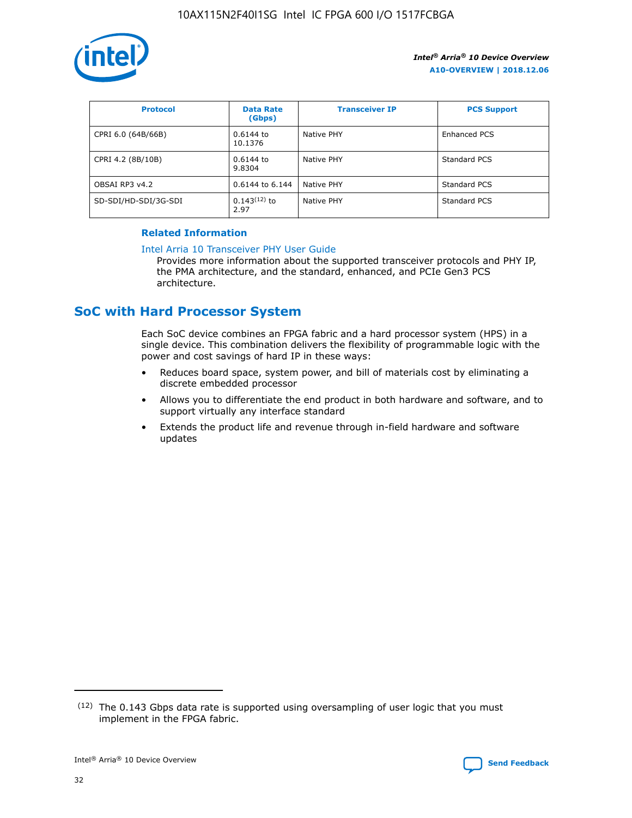

| <b>Protocol</b>      | <b>Data Rate</b><br>(Gbps) | <b>Transceiver IP</b> | <b>PCS Support</b> |
|----------------------|----------------------------|-----------------------|--------------------|
| CPRI 6.0 (64B/66B)   | 0.6144 to<br>10.1376       | Native PHY            | Enhanced PCS       |
| CPRI 4.2 (8B/10B)    | 0.6144 to<br>9.8304        | Native PHY            | Standard PCS       |
| OBSAI RP3 v4.2       | 0.6144 to 6.144            | Native PHY            | Standard PCS       |
| SD-SDI/HD-SDI/3G-SDI | $0.143(12)$ to<br>2.97     | Native PHY            | Standard PCS       |

### **Related Information**

#### [Intel Arria 10 Transceiver PHY User Guide](https://www.intel.com/content/www/us/en/programmable/documentation/nik1398707230472.html#nik1398707091164)

Provides more information about the supported transceiver protocols and PHY IP, the PMA architecture, and the standard, enhanced, and PCIe Gen3 PCS architecture.

### **SoC with Hard Processor System**

Each SoC device combines an FPGA fabric and a hard processor system (HPS) in a single device. This combination delivers the flexibility of programmable logic with the power and cost savings of hard IP in these ways:

- Reduces board space, system power, and bill of materials cost by eliminating a discrete embedded processor
- Allows you to differentiate the end product in both hardware and software, and to support virtually any interface standard
- Extends the product life and revenue through in-field hardware and software updates

<sup>(12)</sup> The 0.143 Gbps data rate is supported using oversampling of user logic that you must implement in the FPGA fabric.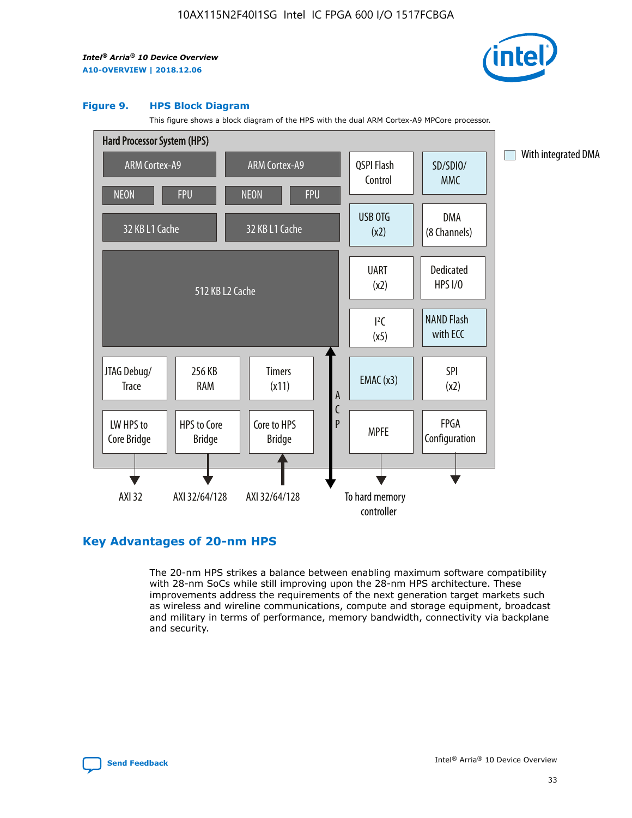

#### **Figure 9. HPS Block Diagram**

This figure shows a block diagram of the HPS with the dual ARM Cortex-A9 MPCore processor.



### **Key Advantages of 20-nm HPS**

The 20-nm HPS strikes a balance between enabling maximum software compatibility with 28-nm SoCs while still improving upon the 28-nm HPS architecture. These improvements address the requirements of the next generation target markets such as wireless and wireline communications, compute and storage equipment, broadcast and military in terms of performance, memory bandwidth, connectivity via backplane and security.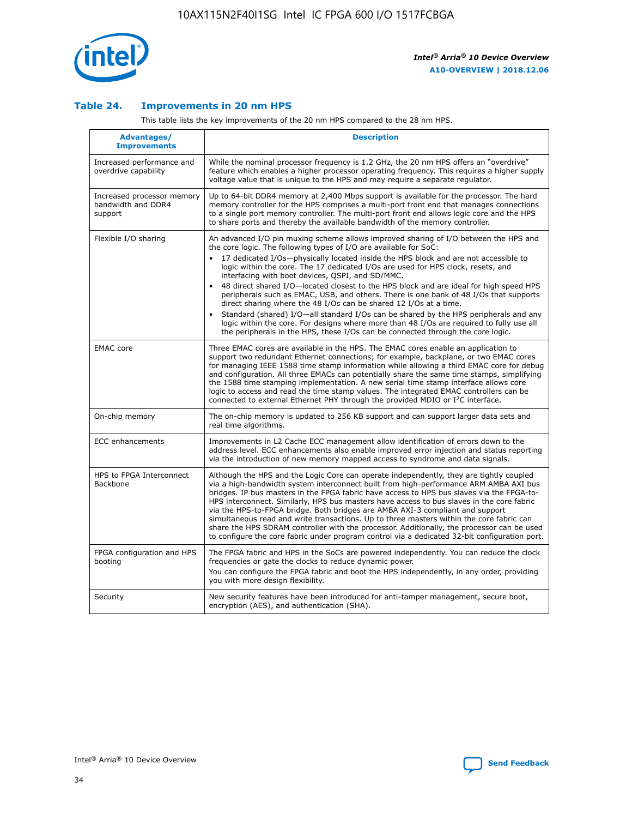

### **Table 24. Improvements in 20 nm HPS**

This table lists the key improvements of the 20 nm HPS compared to the 28 nm HPS.

| Advantages/<br><b>Improvements</b>                          | <b>Description</b>                                                                                                                                                                                                                                                                                                                                                                                                                                                                                                                                                                                                                                                                                                                                                                                                                                                                                                                   |
|-------------------------------------------------------------|--------------------------------------------------------------------------------------------------------------------------------------------------------------------------------------------------------------------------------------------------------------------------------------------------------------------------------------------------------------------------------------------------------------------------------------------------------------------------------------------------------------------------------------------------------------------------------------------------------------------------------------------------------------------------------------------------------------------------------------------------------------------------------------------------------------------------------------------------------------------------------------------------------------------------------------|
| Increased performance and<br>overdrive capability           | While the nominal processor frequency is 1.2 GHz, the 20 nm HPS offers an "overdrive"<br>feature which enables a higher processor operating frequency. This requires a higher supply<br>voltage value that is unique to the HPS and may require a separate regulator.                                                                                                                                                                                                                                                                                                                                                                                                                                                                                                                                                                                                                                                                |
| Increased processor memory<br>bandwidth and DDR4<br>support | Up to 64-bit DDR4 memory at 2,400 Mbps support is available for the processor. The hard<br>memory controller for the HPS comprises a multi-port front end that manages connections<br>to a single port memory controller. The multi-port front end allows logic core and the HPS<br>to share ports and thereby the available bandwidth of the memory controller.                                                                                                                                                                                                                                                                                                                                                                                                                                                                                                                                                                     |
| Flexible I/O sharing                                        | An advanced I/O pin muxing scheme allows improved sharing of I/O between the HPS and<br>the core logic. The following types of I/O are available for SoC:<br>17 dedicated I/Os-physically located inside the HPS block and are not accessible to<br>logic within the core. The 17 dedicated I/Os are used for HPS clock, resets, and<br>interfacing with boot devices, QSPI, and SD/MMC.<br>48 direct shared I/O-located closest to the HPS block and are ideal for high speed HPS<br>$\bullet$<br>peripherals such as EMAC, USB, and others. There is one bank of 48 I/Os that supports<br>direct sharing where the 48 I/Os can be shared 12 I/Os at a time.<br>Standard (shared) I/O-all standard I/Os can be shared by the HPS peripherals and any<br>logic within the core. For designs where more than 48 I/Os are reguired to fully use all<br>the peripherals in the HPS, these I/Os can be connected through the core logic. |
| <b>EMAC</b> core                                            | Three EMAC cores are available in the HPS. The EMAC cores enable an application to<br>support two redundant Ethernet connections; for example, backplane, or two EMAC cores<br>for managing IEEE 1588 time stamp information while allowing a third EMAC core for debug<br>and configuration. All three EMACs can potentially share the same time stamps, simplifying<br>the 1588 time stamping implementation. A new serial time stamp interface allows core<br>logic to access and read the time stamp values. The integrated EMAC controllers can be<br>connected to external Ethernet PHY through the provided MDIO or I <sup>2</sup> C interface.                                                                                                                                                                                                                                                                               |
| On-chip memory                                              | The on-chip memory is updated to 256 KB support and can support larger data sets and<br>real time algorithms.                                                                                                                                                                                                                                                                                                                                                                                                                                                                                                                                                                                                                                                                                                                                                                                                                        |
| <b>ECC</b> enhancements                                     | Improvements in L2 Cache ECC management allow identification of errors down to the<br>address level. ECC enhancements also enable improved error injection and status reporting<br>via the introduction of new memory mapped access to syndrome and data signals.                                                                                                                                                                                                                                                                                                                                                                                                                                                                                                                                                                                                                                                                    |
| HPS to FPGA Interconnect<br>Backbone                        | Although the HPS and the Logic Core can operate independently, they are tightly coupled<br>via a high-bandwidth system interconnect built from high-performance ARM AMBA AXI bus<br>bridges. IP bus masters in the FPGA fabric have access to HPS bus slaves via the FPGA-to-<br>HPS interconnect. Similarly, HPS bus masters have access to bus slaves in the core fabric<br>via the HPS-to-FPGA bridge. Both bridges are AMBA AXI-3 compliant and support<br>simultaneous read and write transactions. Up to three masters within the core fabric can<br>share the HPS SDRAM controller with the processor. Additionally, the processor can be used<br>to configure the core fabric under program control via a dedicated 32-bit configuration port.                                                                                                                                                                               |
| FPGA configuration and HPS<br>booting                       | The FPGA fabric and HPS in the SoCs are powered independently. You can reduce the clock<br>frequencies or gate the clocks to reduce dynamic power.<br>You can configure the FPGA fabric and boot the HPS independently, in any order, providing<br>you with more design flexibility.                                                                                                                                                                                                                                                                                                                                                                                                                                                                                                                                                                                                                                                 |
| Security                                                    | New security features have been introduced for anti-tamper management, secure boot,<br>encryption (AES), and authentication (SHA).                                                                                                                                                                                                                                                                                                                                                                                                                                                                                                                                                                                                                                                                                                                                                                                                   |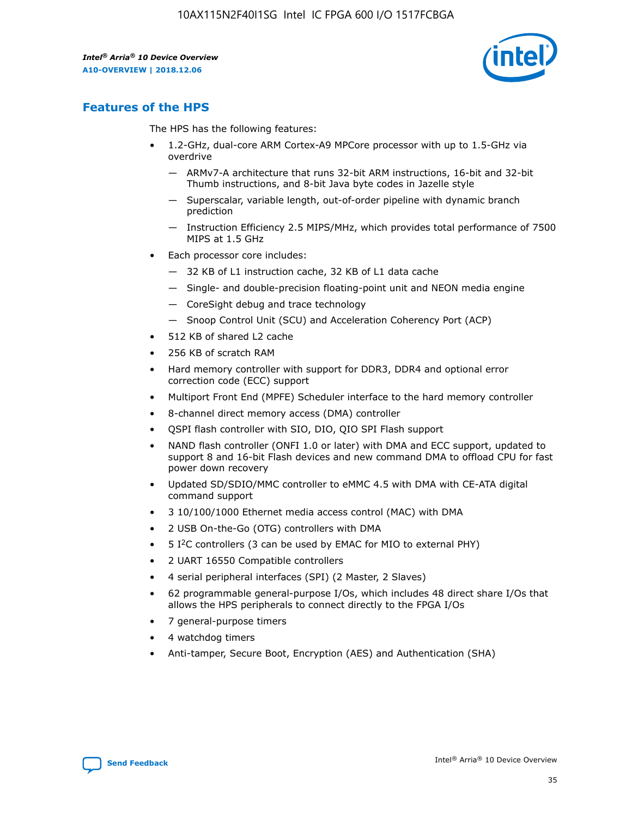

### **Features of the HPS**

The HPS has the following features:

- 1.2-GHz, dual-core ARM Cortex-A9 MPCore processor with up to 1.5-GHz via overdrive
	- ARMv7-A architecture that runs 32-bit ARM instructions, 16-bit and 32-bit Thumb instructions, and 8-bit Java byte codes in Jazelle style
	- Superscalar, variable length, out-of-order pipeline with dynamic branch prediction
	- Instruction Efficiency 2.5 MIPS/MHz, which provides total performance of 7500 MIPS at 1.5 GHz
- Each processor core includes:
	- 32 KB of L1 instruction cache, 32 KB of L1 data cache
	- Single- and double-precision floating-point unit and NEON media engine
	- CoreSight debug and trace technology
	- Snoop Control Unit (SCU) and Acceleration Coherency Port (ACP)
- 512 KB of shared L2 cache
- 256 KB of scratch RAM
- Hard memory controller with support for DDR3, DDR4 and optional error correction code (ECC) support
- Multiport Front End (MPFE) Scheduler interface to the hard memory controller
- 8-channel direct memory access (DMA) controller
- QSPI flash controller with SIO, DIO, QIO SPI Flash support
- NAND flash controller (ONFI 1.0 or later) with DMA and ECC support, updated to support 8 and 16-bit Flash devices and new command DMA to offload CPU for fast power down recovery
- Updated SD/SDIO/MMC controller to eMMC 4.5 with DMA with CE-ATA digital command support
- 3 10/100/1000 Ethernet media access control (MAC) with DMA
- 2 USB On-the-Go (OTG) controllers with DMA
- $\bullet$  5 I<sup>2</sup>C controllers (3 can be used by EMAC for MIO to external PHY)
- 2 UART 16550 Compatible controllers
- 4 serial peripheral interfaces (SPI) (2 Master, 2 Slaves)
- 62 programmable general-purpose I/Os, which includes 48 direct share I/Os that allows the HPS peripherals to connect directly to the FPGA I/Os
- 7 general-purpose timers
- 4 watchdog timers
- Anti-tamper, Secure Boot, Encryption (AES) and Authentication (SHA)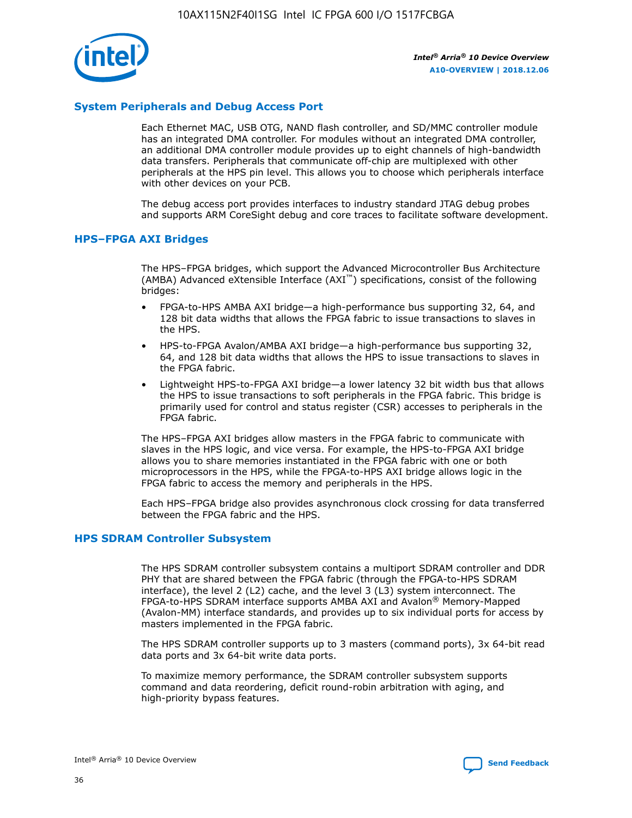

### **System Peripherals and Debug Access Port**

Each Ethernet MAC, USB OTG, NAND flash controller, and SD/MMC controller module has an integrated DMA controller. For modules without an integrated DMA controller, an additional DMA controller module provides up to eight channels of high-bandwidth data transfers. Peripherals that communicate off-chip are multiplexed with other peripherals at the HPS pin level. This allows you to choose which peripherals interface with other devices on your PCB.

The debug access port provides interfaces to industry standard JTAG debug probes and supports ARM CoreSight debug and core traces to facilitate software development.

### **HPS–FPGA AXI Bridges**

The HPS–FPGA bridges, which support the Advanced Microcontroller Bus Architecture (AMBA) Advanced eXtensible Interface (AXI™) specifications, consist of the following bridges:

- FPGA-to-HPS AMBA AXI bridge—a high-performance bus supporting 32, 64, and 128 bit data widths that allows the FPGA fabric to issue transactions to slaves in the HPS.
- HPS-to-FPGA Avalon/AMBA AXI bridge—a high-performance bus supporting 32, 64, and 128 bit data widths that allows the HPS to issue transactions to slaves in the FPGA fabric.
- Lightweight HPS-to-FPGA AXI bridge—a lower latency 32 bit width bus that allows the HPS to issue transactions to soft peripherals in the FPGA fabric. This bridge is primarily used for control and status register (CSR) accesses to peripherals in the FPGA fabric.

The HPS–FPGA AXI bridges allow masters in the FPGA fabric to communicate with slaves in the HPS logic, and vice versa. For example, the HPS-to-FPGA AXI bridge allows you to share memories instantiated in the FPGA fabric with one or both microprocessors in the HPS, while the FPGA-to-HPS AXI bridge allows logic in the FPGA fabric to access the memory and peripherals in the HPS.

Each HPS–FPGA bridge also provides asynchronous clock crossing for data transferred between the FPGA fabric and the HPS.

#### **HPS SDRAM Controller Subsystem**

The HPS SDRAM controller subsystem contains a multiport SDRAM controller and DDR PHY that are shared between the FPGA fabric (through the FPGA-to-HPS SDRAM interface), the level 2 (L2) cache, and the level 3 (L3) system interconnect. The FPGA-to-HPS SDRAM interface supports AMBA AXI and Avalon® Memory-Mapped (Avalon-MM) interface standards, and provides up to six individual ports for access by masters implemented in the FPGA fabric.

The HPS SDRAM controller supports up to 3 masters (command ports), 3x 64-bit read data ports and 3x 64-bit write data ports.

To maximize memory performance, the SDRAM controller subsystem supports command and data reordering, deficit round-robin arbitration with aging, and high-priority bypass features.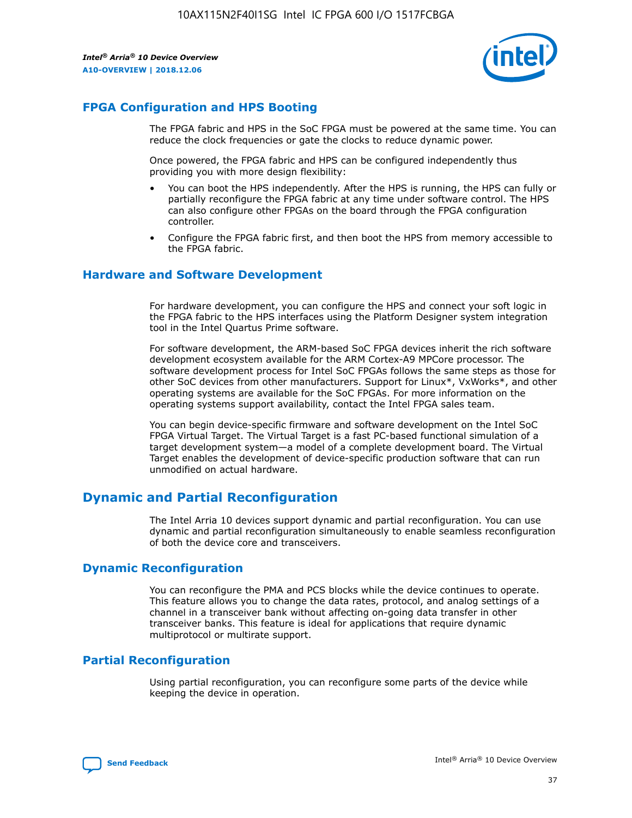

### **FPGA Configuration and HPS Booting**

The FPGA fabric and HPS in the SoC FPGA must be powered at the same time. You can reduce the clock frequencies or gate the clocks to reduce dynamic power.

Once powered, the FPGA fabric and HPS can be configured independently thus providing you with more design flexibility:

- You can boot the HPS independently. After the HPS is running, the HPS can fully or partially reconfigure the FPGA fabric at any time under software control. The HPS can also configure other FPGAs on the board through the FPGA configuration controller.
- Configure the FPGA fabric first, and then boot the HPS from memory accessible to the FPGA fabric.

### **Hardware and Software Development**

For hardware development, you can configure the HPS and connect your soft logic in the FPGA fabric to the HPS interfaces using the Platform Designer system integration tool in the Intel Quartus Prime software.

For software development, the ARM-based SoC FPGA devices inherit the rich software development ecosystem available for the ARM Cortex-A9 MPCore processor. The software development process for Intel SoC FPGAs follows the same steps as those for other SoC devices from other manufacturers. Support for Linux\*, VxWorks\*, and other operating systems are available for the SoC FPGAs. For more information on the operating systems support availability, contact the Intel FPGA sales team.

You can begin device-specific firmware and software development on the Intel SoC FPGA Virtual Target. The Virtual Target is a fast PC-based functional simulation of a target development system—a model of a complete development board. The Virtual Target enables the development of device-specific production software that can run unmodified on actual hardware.

### **Dynamic and Partial Reconfiguration**

The Intel Arria 10 devices support dynamic and partial reconfiguration. You can use dynamic and partial reconfiguration simultaneously to enable seamless reconfiguration of both the device core and transceivers.

### **Dynamic Reconfiguration**

You can reconfigure the PMA and PCS blocks while the device continues to operate. This feature allows you to change the data rates, protocol, and analog settings of a channel in a transceiver bank without affecting on-going data transfer in other transceiver banks. This feature is ideal for applications that require dynamic multiprotocol or multirate support.

### **Partial Reconfiguration**

Using partial reconfiguration, you can reconfigure some parts of the device while keeping the device in operation.

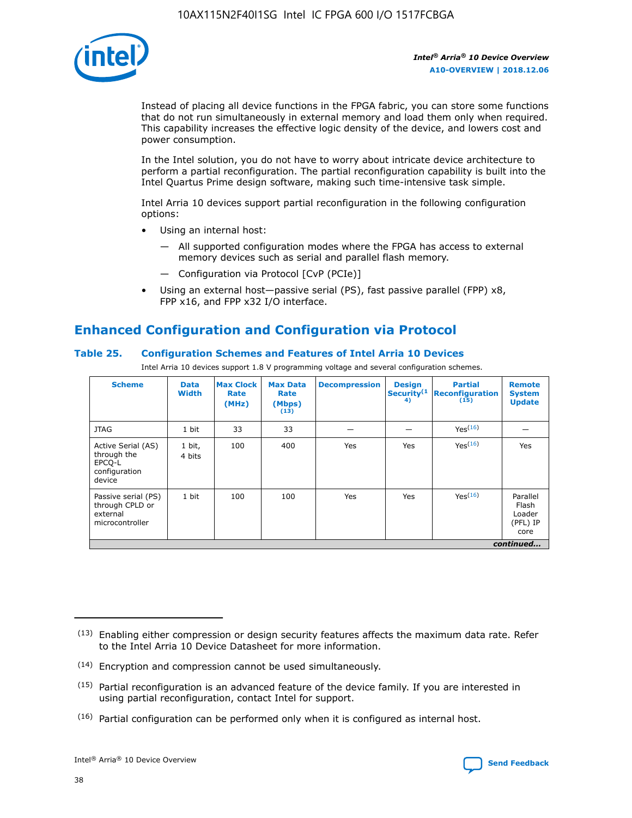

Instead of placing all device functions in the FPGA fabric, you can store some functions that do not run simultaneously in external memory and load them only when required. This capability increases the effective logic density of the device, and lowers cost and power consumption.

In the Intel solution, you do not have to worry about intricate device architecture to perform a partial reconfiguration. The partial reconfiguration capability is built into the Intel Quartus Prime design software, making such time-intensive task simple.

Intel Arria 10 devices support partial reconfiguration in the following configuration options:

- Using an internal host:
	- All supported configuration modes where the FPGA has access to external memory devices such as serial and parallel flash memory.
	- Configuration via Protocol [CvP (PCIe)]
- Using an external host—passive serial (PS), fast passive parallel (FPP) x8, FPP x16, and FPP x32 I/O interface.

### **Enhanced Configuration and Configuration via Protocol**

### **Table 25. Configuration Schemes and Features of Intel Arria 10 Devices**

Intel Arria 10 devices support 1.8 V programming voltage and several configuration schemes.

| <b>Scheme</b>                                                          | <b>Data</b><br><b>Width</b> | <b>Max Clock</b><br>Rate<br>(MHz) | <b>Max Data</b><br>Rate<br>(Mbps)<br>(13) | <b>Decompression</b> | <b>Design</b><br>Security <sup>(1</sup><br>4) | <b>Partial</b><br>Reconfiguration<br>(15) | <b>Remote</b><br><b>System</b><br><b>Update</b> |
|------------------------------------------------------------------------|-----------------------------|-----------------------------------|-------------------------------------------|----------------------|-----------------------------------------------|-------------------------------------------|-------------------------------------------------|
| <b>JTAG</b>                                                            | 1 bit                       | 33                                | 33                                        |                      |                                               | Yes <sup>(16)</sup>                       |                                                 |
| Active Serial (AS)<br>through the<br>EPCO-L<br>configuration<br>device | 1 bit,<br>4 bits            | 100                               | 400                                       | Yes                  | Yes                                           | $Y_{PS}(16)$                              | Yes                                             |
| Passive serial (PS)<br>through CPLD or<br>external<br>microcontroller  | 1 bit                       | 100                               | 100                                       | Yes                  | Yes                                           | Yes(16)                                   | Parallel<br>Flash<br>Loader<br>(PFL) IP<br>core |
|                                                                        |                             |                                   |                                           |                      |                                               |                                           | continued                                       |

<sup>(13)</sup> Enabling either compression or design security features affects the maximum data rate. Refer to the Intel Arria 10 Device Datasheet for more information.

<sup>(14)</sup> Encryption and compression cannot be used simultaneously.

 $(15)$  Partial reconfiguration is an advanced feature of the device family. If you are interested in using partial reconfiguration, contact Intel for support.

 $(16)$  Partial configuration can be performed only when it is configured as internal host.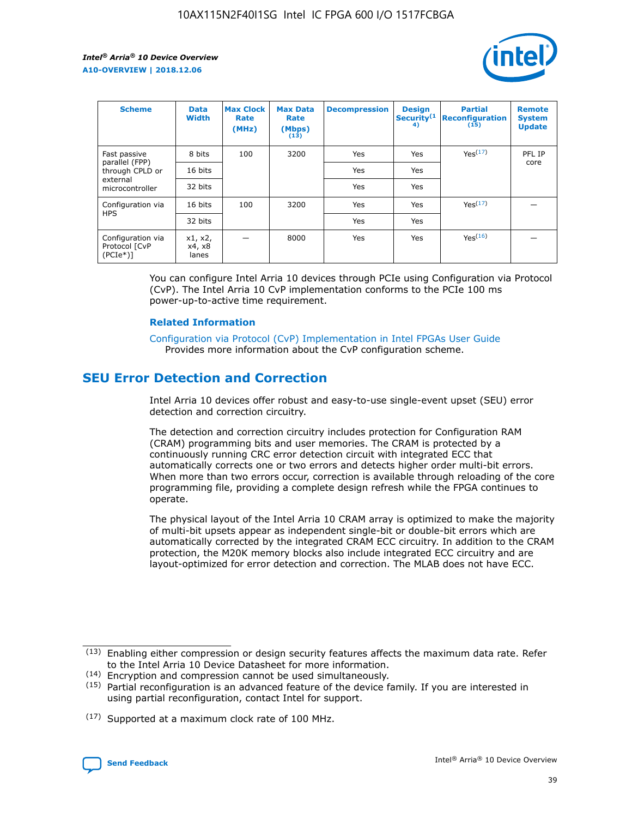

| <b>Scheme</b>                                   | <b>Data</b><br><b>Width</b> | <b>Max Clock</b><br>Rate<br>(MHz) | <b>Max Data</b><br>Rate<br>(Mbps)<br>(13) | <b>Decompression</b> | <b>Design</b><br>Security <sup>(1</sup><br>4) | <b>Partial</b><br><b>Reconfiguration</b><br>(15) | <b>Remote</b><br><b>System</b><br><b>Update</b> |
|-------------------------------------------------|-----------------------------|-----------------------------------|-------------------------------------------|----------------------|-----------------------------------------------|--------------------------------------------------|-------------------------------------------------|
| Fast passive                                    | 8 bits                      | 100                               | 3200                                      | Yes                  | Yes                                           | Yes <sup>(17)</sup>                              | PFL IP                                          |
| parallel (FPP)<br>through CPLD or               | 16 bits                     |                                   |                                           | Yes                  | Yes                                           |                                                  | core                                            |
| external<br>microcontroller                     | 32 bits                     |                                   |                                           | Yes                  | Yes                                           |                                                  |                                                 |
| Configuration via                               | 16 bits                     | 100                               | 3200                                      | Yes                  | Yes                                           | Yes <sup>(17)</sup>                              |                                                 |
| <b>HPS</b>                                      | 32 bits                     |                                   |                                           | Yes                  | Yes                                           |                                                  |                                                 |
| Configuration via<br>Protocol [CvP<br>$(PCIe*)$ | x1, x2,<br>x4, x8<br>lanes  |                                   | 8000                                      | Yes                  | Yes                                           | Yes <sup>(16)</sup>                              |                                                 |

You can configure Intel Arria 10 devices through PCIe using Configuration via Protocol (CvP). The Intel Arria 10 CvP implementation conforms to the PCIe 100 ms power-up-to-active time requirement.

#### **Related Information**

[Configuration via Protocol \(CvP\) Implementation in Intel FPGAs User Guide](https://www.intel.com/content/www/us/en/programmable/documentation/dsu1441819344145.html#dsu1442269728522) Provides more information about the CvP configuration scheme.

### **SEU Error Detection and Correction**

Intel Arria 10 devices offer robust and easy-to-use single-event upset (SEU) error detection and correction circuitry.

The detection and correction circuitry includes protection for Configuration RAM (CRAM) programming bits and user memories. The CRAM is protected by a continuously running CRC error detection circuit with integrated ECC that automatically corrects one or two errors and detects higher order multi-bit errors. When more than two errors occur, correction is available through reloading of the core programming file, providing a complete design refresh while the FPGA continues to operate.

The physical layout of the Intel Arria 10 CRAM array is optimized to make the majority of multi-bit upsets appear as independent single-bit or double-bit errors which are automatically corrected by the integrated CRAM ECC circuitry. In addition to the CRAM protection, the M20K memory blocks also include integrated ECC circuitry and are layout-optimized for error detection and correction. The MLAB does not have ECC.

(14) Encryption and compression cannot be used simultaneously.

<sup>(17)</sup> Supported at a maximum clock rate of 100 MHz.



 $(13)$  Enabling either compression or design security features affects the maximum data rate. Refer to the Intel Arria 10 Device Datasheet for more information.

 $(15)$  Partial reconfiguration is an advanced feature of the device family. If you are interested in using partial reconfiguration, contact Intel for support.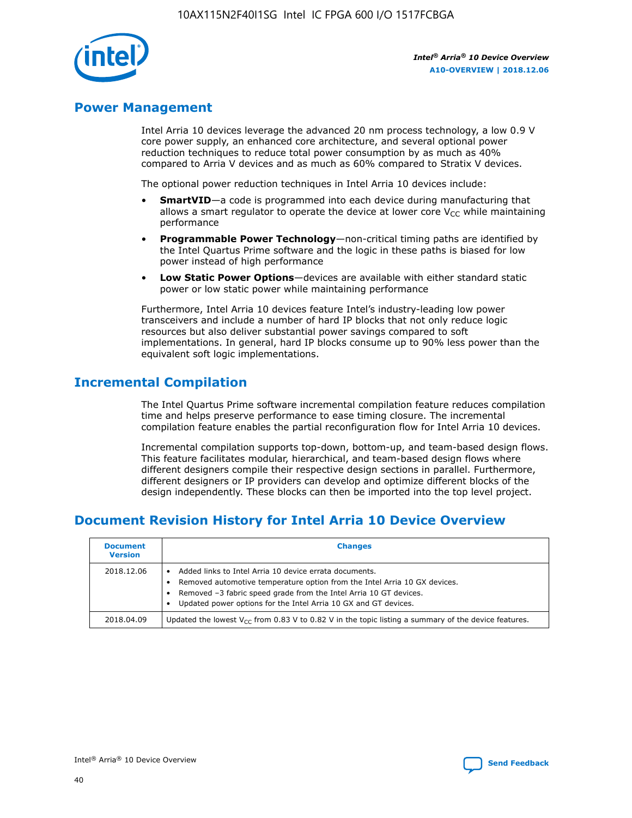

### **Power Management**

Intel Arria 10 devices leverage the advanced 20 nm process technology, a low 0.9 V core power supply, an enhanced core architecture, and several optional power reduction techniques to reduce total power consumption by as much as 40% compared to Arria V devices and as much as 60% compared to Stratix V devices.

The optional power reduction techniques in Intel Arria 10 devices include:

- **SmartVID**—a code is programmed into each device during manufacturing that allows a smart regulator to operate the device at lower core  $V_{CC}$  while maintaining performance
- **Programmable Power Technology**—non-critical timing paths are identified by the Intel Quartus Prime software and the logic in these paths is biased for low power instead of high performance
- **Low Static Power Options**—devices are available with either standard static power or low static power while maintaining performance

Furthermore, Intel Arria 10 devices feature Intel's industry-leading low power transceivers and include a number of hard IP blocks that not only reduce logic resources but also deliver substantial power savings compared to soft implementations. In general, hard IP blocks consume up to 90% less power than the equivalent soft logic implementations.

### **Incremental Compilation**

The Intel Quartus Prime software incremental compilation feature reduces compilation time and helps preserve performance to ease timing closure. The incremental compilation feature enables the partial reconfiguration flow for Intel Arria 10 devices.

Incremental compilation supports top-down, bottom-up, and team-based design flows. This feature facilitates modular, hierarchical, and team-based design flows where different designers compile their respective design sections in parallel. Furthermore, different designers or IP providers can develop and optimize different blocks of the design independently. These blocks can then be imported into the top level project.

### **Document Revision History for Intel Arria 10 Device Overview**

| <b>Document</b><br><b>Version</b> | <b>Changes</b>                                                                                                                                                                                                                                                              |
|-----------------------------------|-----------------------------------------------------------------------------------------------------------------------------------------------------------------------------------------------------------------------------------------------------------------------------|
| 2018.12.06                        | Added links to Intel Arria 10 device errata documents.<br>Removed automotive temperature option from the Intel Arria 10 GX devices.<br>Removed -3 fabric speed grade from the Intel Arria 10 GT devices.<br>Updated power options for the Intel Arria 10 GX and GT devices. |
| 2018.04.09                        | Updated the lowest $V_{CC}$ from 0.83 V to 0.82 V in the topic listing a summary of the device features.                                                                                                                                                                    |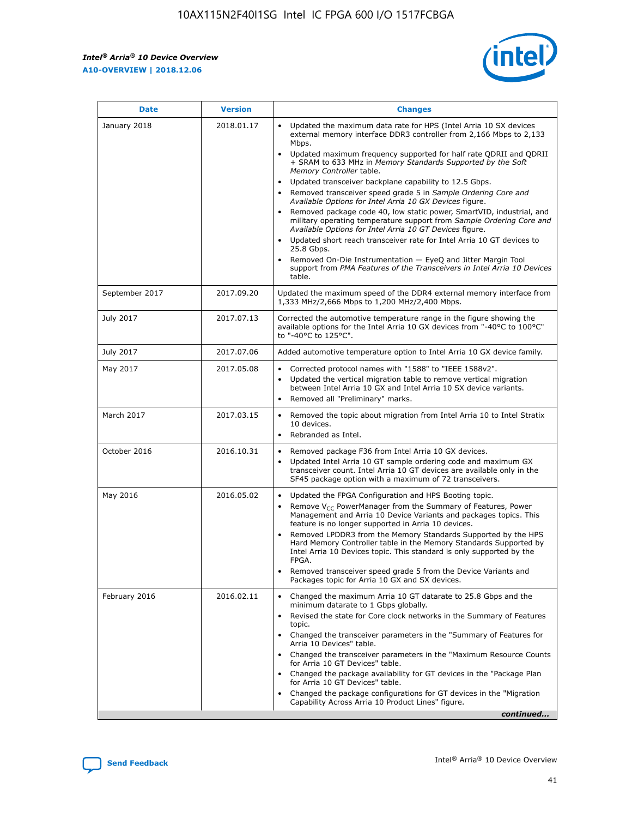*Intel® Arria® 10 Device Overview* **A10-OVERVIEW | 2018.12.06**



| <b>Date</b>    | <b>Version</b> | <b>Changes</b>                                                                                                                                                                                                                                                                                                                                                                                                                                                                                                                                                                                                                                                                                                                                                                                                                                                                                                                                                            |
|----------------|----------------|---------------------------------------------------------------------------------------------------------------------------------------------------------------------------------------------------------------------------------------------------------------------------------------------------------------------------------------------------------------------------------------------------------------------------------------------------------------------------------------------------------------------------------------------------------------------------------------------------------------------------------------------------------------------------------------------------------------------------------------------------------------------------------------------------------------------------------------------------------------------------------------------------------------------------------------------------------------------------|
| January 2018   | 2018.01.17     | Updated the maximum data rate for HPS (Intel Arria 10 SX devices<br>external memory interface DDR3 controller from 2,166 Mbps to 2,133<br>Mbps.<br>Updated maximum frequency supported for half rate QDRII and QDRII<br>+ SRAM to 633 MHz in Memory Standards Supported by the Soft<br>Memory Controller table.<br>Updated transceiver backplane capability to 12.5 Gbps.<br>$\bullet$<br>Removed transceiver speed grade 5 in Sample Ordering Core and<br>Available Options for Intel Arria 10 GX Devices figure.<br>Removed package code 40, low static power, SmartVID, industrial, and<br>military operating temperature support from Sample Ordering Core and<br>Available Options for Intel Arria 10 GT Devices figure.<br>Updated short reach transceiver rate for Intel Arria 10 GT devices to<br>25.8 Gbps.<br>Removed On-Die Instrumentation - EyeQ and Jitter Margin Tool<br>support from PMA Features of the Transceivers in Intel Arria 10 Devices<br>table. |
| September 2017 | 2017.09.20     | Updated the maximum speed of the DDR4 external memory interface from<br>1,333 MHz/2,666 Mbps to 1,200 MHz/2,400 Mbps.                                                                                                                                                                                                                                                                                                                                                                                                                                                                                                                                                                                                                                                                                                                                                                                                                                                     |
| July 2017      | 2017.07.13     | Corrected the automotive temperature range in the figure showing the<br>available options for the Intel Arria 10 GX devices from "-40°C to 100°C"<br>to "-40°C to 125°C".                                                                                                                                                                                                                                                                                                                                                                                                                                                                                                                                                                                                                                                                                                                                                                                                 |
| July 2017      | 2017.07.06     | Added automotive temperature option to Intel Arria 10 GX device family.                                                                                                                                                                                                                                                                                                                                                                                                                                                                                                                                                                                                                                                                                                                                                                                                                                                                                                   |
| May 2017       | 2017.05.08     | Corrected protocol names with "1588" to "IEEE 1588v2".<br>$\bullet$<br>Updated the vertical migration table to remove vertical migration<br>$\bullet$<br>between Intel Arria 10 GX and Intel Arria 10 SX device variants.<br>Removed all "Preliminary" marks.<br>$\bullet$                                                                                                                                                                                                                                                                                                                                                                                                                                                                                                                                                                                                                                                                                                |
| March 2017     | 2017.03.15     | Removed the topic about migration from Intel Arria 10 to Intel Stratix<br>10 devices.<br>Rebranded as Intel.<br>$\bullet$                                                                                                                                                                                                                                                                                                                                                                                                                                                                                                                                                                                                                                                                                                                                                                                                                                                 |
| October 2016   | 2016.10.31     | Removed package F36 from Intel Arria 10 GX devices.<br>Updated Intel Arria 10 GT sample ordering code and maximum GX<br>$\bullet$<br>transceiver count. Intel Arria 10 GT devices are available only in the<br>SF45 package option with a maximum of 72 transceivers.                                                                                                                                                                                                                                                                                                                                                                                                                                                                                                                                                                                                                                                                                                     |
| May 2016       | 2016.05.02     | Updated the FPGA Configuration and HPS Booting topic.<br>$\bullet$<br>Remove V <sub>CC</sub> PowerManager from the Summary of Features, Power<br>Management and Arria 10 Device Variants and packages topics. This<br>feature is no longer supported in Arria 10 devices.<br>Removed LPDDR3 from the Memory Standards Supported by the HPS<br>Hard Memory Controller table in the Memory Standards Supported by<br>Intel Arria 10 Devices topic. This standard is only supported by the<br>FPGA.<br>Removed transceiver speed grade 5 from the Device Variants and<br>Packages topic for Arria 10 GX and SX devices.                                                                                                                                                                                                                                                                                                                                                      |
| February 2016  | 2016.02.11     | Changed the maximum Arria 10 GT datarate to 25.8 Gbps and the<br>minimum datarate to 1 Gbps globally.<br>Revised the state for Core clock networks in the Summary of Features<br>$\bullet$<br>topic.<br>Changed the transceiver parameters in the "Summary of Features for<br>$\bullet$<br>Arria 10 Devices" table.<br>• Changed the transceiver parameters in the "Maximum Resource Counts<br>for Arria 10 GT Devices" table.<br>Changed the package availability for GT devices in the "Package Plan<br>for Arria 10 GT Devices" table.<br>Changed the package configurations for GT devices in the "Migration"<br>Capability Across Arria 10 Product Lines" figure.<br>continued                                                                                                                                                                                                                                                                                       |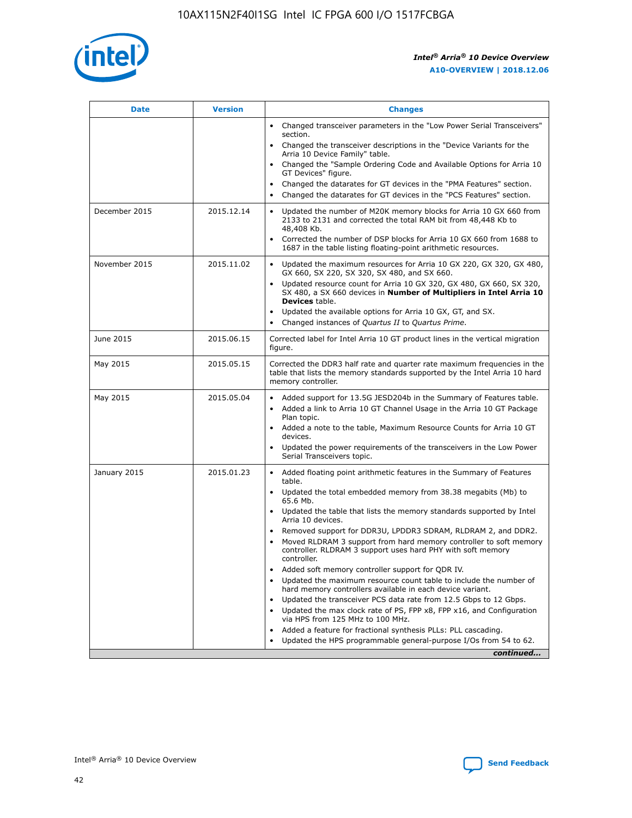

| <b>Date</b>   | <b>Version</b> | <b>Changes</b>                                                                                                                                                               |
|---------------|----------------|------------------------------------------------------------------------------------------------------------------------------------------------------------------------------|
|               |                | • Changed transceiver parameters in the "Low Power Serial Transceivers"<br>section.                                                                                          |
|               |                | • Changed the transceiver descriptions in the "Device Variants for the<br>Arria 10 Device Family" table.                                                                     |
|               |                | Changed the "Sample Ordering Code and Available Options for Arria 10<br>$\bullet$<br>GT Devices" figure.                                                                     |
|               |                | Changed the datarates for GT devices in the "PMA Features" section.                                                                                                          |
|               |                | Changed the datarates for GT devices in the "PCS Features" section.<br>$\bullet$                                                                                             |
| December 2015 | 2015.12.14     | Updated the number of M20K memory blocks for Arria 10 GX 660 from<br>2133 to 2131 and corrected the total RAM bit from 48,448 Kb to<br>48,408 Kb.                            |
|               |                | Corrected the number of DSP blocks for Arria 10 GX 660 from 1688 to<br>1687 in the table listing floating-point arithmetic resources.                                        |
| November 2015 | 2015.11.02     | Updated the maximum resources for Arria 10 GX 220, GX 320, GX 480,<br>$\bullet$<br>GX 660, SX 220, SX 320, SX 480, and SX 660.                                               |
|               |                | • Updated resource count for Arria 10 GX 320, GX 480, GX 660, SX 320,<br>SX 480, a SX 660 devices in Number of Multipliers in Intel Arria 10<br><b>Devices</b> table.        |
|               |                | Updated the available options for Arria 10 GX, GT, and SX.                                                                                                                   |
|               |                | Changed instances of Quartus II to Quartus Prime.<br>$\bullet$                                                                                                               |
| June 2015     | 2015.06.15     | Corrected label for Intel Arria 10 GT product lines in the vertical migration<br>figure.                                                                                     |
| May 2015      | 2015.05.15     | Corrected the DDR3 half rate and quarter rate maximum frequencies in the<br>table that lists the memory standards supported by the Intel Arria 10 hard<br>memory controller. |
| May 2015      | 2015.05.04     | • Added support for 13.5G JESD204b in the Summary of Features table.<br>• Added a link to Arria 10 GT Channel Usage in the Arria 10 GT Package<br>Plan topic.                |
|               |                | • Added a note to the table, Maximum Resource Counts for Arria 10 GT<br>devices.                                                                                             |
|               |                | • Updated the power requirements of the transceivers in the Low Power<br>Serial Transceivers topic.                                                                          |
| January 2015  | 2015.01.23     | • Added floating point arithmetic features in the Summary of Features<br>table.                                                                                              |
|               |                | • Updated the total embedded memory from 38.38 megabits (Mb) to<br>65.6 Mb.                                                                                                  |
|               |                | • Updated the table that lists the memory standards supported by Intel<br>Arria 10 devices.                                                                                  |
|               |                | Removed support for DDR3U, LPDDR3 SDRAM, RLDRAM 2, and DDR2.                                                                                                                 |
|               |                | Moved RLDRAM 3 support from hard memory controller to soft memory<br>controller. RLDRAM 3 support uses hard PHY with soft memory<br>controller.                              |
|               |                | Added soft memory controller support for QDR IV.<br>٠                                                                                                                        |
|               |                | Updated the maximum resource count table to include the number of<br>hard memory controllers available in each device variant.                                               |
|               |                | Updated the transceiver PCS data rate from 12.5 Gbps to 12 Gbps.<br>$\bullet$                                                                                                |
|               |                | Updated the max clock rate of PS, FPP x8, FPP x16, and Configuration<br>via HPS from 125 MHz to 100 MHz.                                                                     |
|               |                | Added a feature for fractional synthesis PLLs: PLL cascading.                                                                                                                |
|               |                | Updated the HPS programmable general-purpose I/Os from 54 to 62.<br>$\bullet$<br>continued                                                                                   |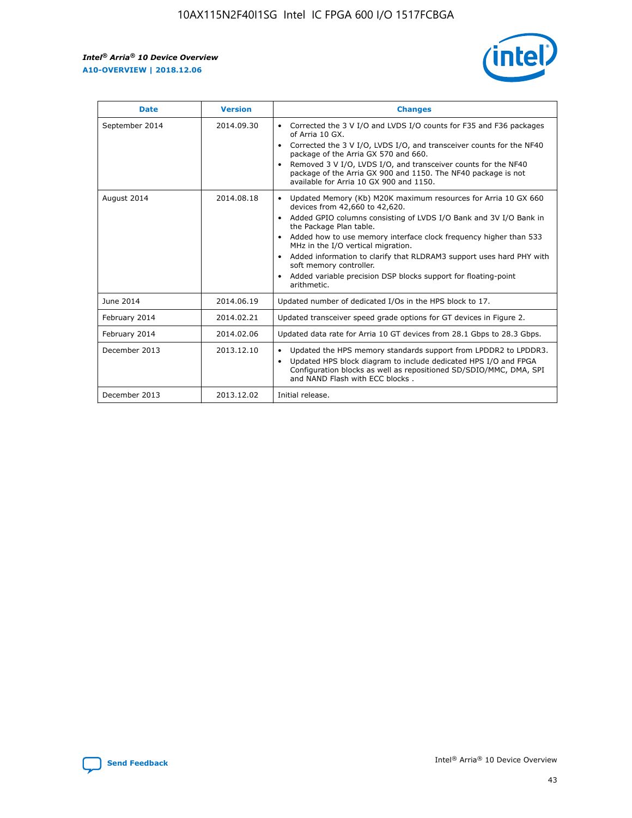r



| <b>Date</b>    | <b>Version</b> | <b>Changes</b>                                                                                                                                                                                                                                                                                                                                                                                                                                                                                                                                      |
|----------------|----------------|-----------------------------------------------------------------------------------------------------------------------------------------------------------------------------------------------------------------------------------------------------------------------------------------------------------------------------------------------------------------------------------------------------------------------------------------------------------------------------------------------------------------------------------------------------|
| September 2014 | 2014.09.30     | Corrected the 3 V I/O and LVDS I/O counts for F35 and F36 packages<br>of Arria 10 GX.<br>Corrected the 3 V I/O, LVDS I/O, and transceiver counts for the NF40<br>$\bullet$<br>package of the Arria GX 570 and 660.<br>Removed 3 V I/O, LVDS I/O, and transceiver counts for the NF40<br>package of the Arria GX 900 and 1150. The NF40 package is not<br>available for Arria 10 GX 900 and 1150.                                                                                                                                                    |
| August 2014    | 2014.08.18     | Updated Memory (Kb) M20K maximum resources for Arria 10 GX 660<br>devices from 42,660 to 42,620.<br>Added GPIO columns consisting of LVDS I/O Bank and 3V I/O Bank in<br>$\bullet$<br>the Package Plan table.<br>Added how to use memory interface clock frequency higher than 533<br>$\bullet$<br>MHz in the I/O vertical migration.<br>Added information to clarify that RLDRAM3 support uses hard PHY with<br>$\bullet$<br>soft memory controller.<br>Added variable precision DSP blocks support for floating-point<br>$\bullet$<br>arithmetic. |
| June 2014      | 2014.06.19     | Updated number of dedicated I/Os in the HPS block to 17.                                                                                                                                                                                                                                                                                                                                                                                                                                                                                            |
| February 2014  | 2014.02.21     | Updated transceiver speed grade options for GT devices in Figure 2.                                                                                                                                                                                                                                                                                                                                                                                                                                                                                 |
| February 2014  | 2014.02.06     | Updated data rate for Arria 10 GT devices from 28.1 Gbps to 28.3 Gbps.                                                                                                                                                                                                                                                                                                                                                                                                                                                                              |
| December 2013  | 2013.12.10     | Updated the HPS memory standards support from LPDDR2 to LPDDR3.<br>Updated HPS block diagram to include dedicated HPS I/O and FPGA<br>$\bullet$<br>Configuration blocks as well as repositioned SD/SDIO/MMC, DMA, SPI<br>and NAND Flash with ECC blocks.                                                                                                                                                                                                                                                                                            |
| December 2013  | 2013.12.02     | Initial release.                                                                                                                                                                                                                                                                                                                                                                                                                                                                                                                                    |